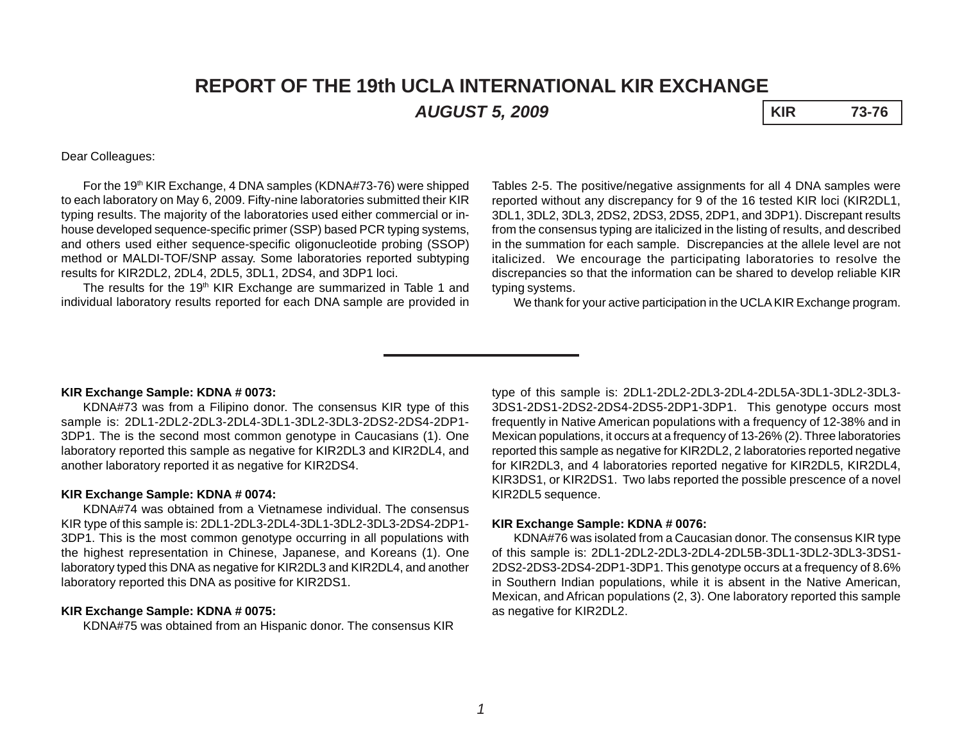# **REPORT OF THE 19th UCLA INTERNATIONAL KIR EXCHANGE** *AUGUST 5, 2009* **KIR 73-76**

# Dear Colleagues:

For the 19<sup>th</sup> KIR Exchange, 4 DNA samples (KDNA#73-76) were shipped to each laboratory on May 6, 2009. Fifty-nine laboratories submitted their KIR typing results. The majority of the laboratories used either commercial or inhouse developed sequence-specific primer (SSP) based PCR typing systems, and others used either sequence-specific oligonucleotide probing (SSOP) method or MALDI-TOF/SNP assay. Some laboratories reported subtyping results for KIR2DL2, 2DL4, 2DL5, 3DL1, 2DS4, and 3DP1 loci.

The results for the 19<sup>th</sup> KIR Exchange are summarized in Table 1 and individual laboratory results reported for each DNA sample are provided in

Tables 2-5. The positive/negative assignments for all 4 DNA samples were reported without any discrepancy for 9 of the 16 tested KIR loci (KIR2DL1, 3DL1, 3DL2, 3DL3, 2DS2, 2DS3, 2DS5, 2DP1, and 3DP1). Discrepant results from the consensus typing are italicized in the listing of results, and described in the summation for each sample. Discrepancies at the allele level are not italicized. We encourage the participating laboratories to resolve the discrepancies so that the information can be shared to develop reliable KIR typing systems.

We thank for your active participation in the UCLA KIR Exchange program.

### **KIR Exchange Sample: KDNA # 0073:**

KDNA#73 was from a Filipino donor. The consensus KIR type of this sample is: 2DL1-2DL2-2DL3-2DL4-3DL1-3DL2-3DL3-2DS2-2DS4-2DP1- 3DP1. The is the second most common genotype in Caucasians (1). One laboratory reported this sample as negative for KIR2DL3 and KIR2DL4, and another laboratory reported it as negative for KIR2DS4.

### **KIR Exchange Sample: KDNA # 0074:**

KDNA#74 was obtained from a Vietnamese individual. The consensus KIR type of this sample is: 2DL1-2DL3-2DL4-3DL1-3DL2-3DL3-2DS4-2DP1- 3DP1. This is the most common genotype occurring in all populations with the highest representation in Chinese, Japanese, and Koreans (1). One laboratory typed this DNA as negative for KIR2DL3 and KIR2DL4, and another laboratory reported this DNA as positive for KIR2DS1.

## **KIR Exchange Sample: KDNA # 0075:**

KDNA#75 was obtained from an Hispanic donor. The consensus KIR

type of this sample is: 2DL1-2DL2-2DL3-2DL4-2DL5A-3DL1-3DL2-3DL3- 3DS1-2DS1-2DS2-2DS4-2DS5-2DP1-3DP1. This genotype occurs most frequently in Native American populations with a frequency of 12-38% and in Mexican populations, it occurs at a frequency of 13-26% (2). Three laboratories reported this sample as negative for KIR2DL2, 2 laboratories reported negative for KIR2DL3, and 4 laboratories reported negative for KIR2DL5, KIR2DL4, KIR3DS1, or KIR2DS1. Two labs reported the possible prescence of a novel KIR2DL5 sequence.

#### **KIR Exchange Sample: KDNA # 0076:**

KDNA#76 was isolated from a Caucasian donor. The consensus KIR type of this sample is: 2DL1-2DL2-2DL3-2DL4-2DL5B-3DL1-3DL2-3DL3-3DS1- 2DS2-2DS3-2DS4-2DP1-3DP1. This genotype occurs at a frequency of 8.6% in Southern Indian populations, while it is absent in the Native American, Mexican, and African populations (2, 3). One laboratory reported this sample as negative for KIR2DL2.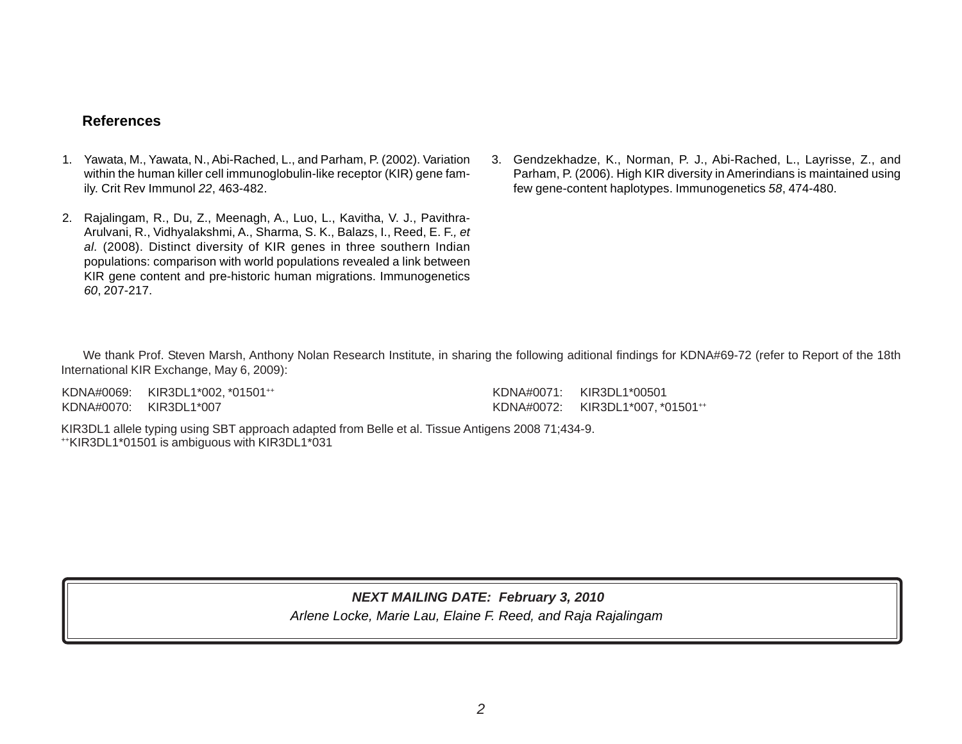# **References**

- 1. Yawata, M., Yawata, N., Abi-Rached, L., and Parham, P. (2002). Variation within the human killer cell immunoglobulin-like receptor (KIR) gene family. Crit Rev Immunol *22*, 463-482.
- 2. Rajalingam, R., Du, Z., Meenagh, A., Luo, L., Kavitha, V. J., Pavithra-Arulvani, R., Vidhyalakshmi, A., Sharma, S. K., Balazs, I., Reed, E. F.*, et al.* (2008). Distinct diversity of KIR genes in three southern Indian populations: comparison with world populations revealed a link between KIR gene content and pre-historic human migrations. Immunogenetics *60*, 207-217.
- 3. Gendzekhadze, K., Norman, P. J., Abi-Rached, L., Layrisse, Z., and Parham, P. (2006). High KIR diversity in Amerindians is maintained using few gene-content haplotypes. Immunogenetics *58*, 474-480.

We thank Prof. Steven Marsh, Anthony Nolan Research Institute, in sharing the following aditional findings for KDNA#69-72 (refer to Report of the 18th International KIR Exchange, May 6, 2009):

KDNA#0069: KIR3DL1\*002, \*01501++ KDNA#0070: KIR3DL1\*007

KDNA#0071: KIR3DL1\*00501 KDNA#0072: KIR3DL1\*007, \*01501++

KIR3DL1 allele typing using SBT approach adapted from Belle et al. Tissue Antigens 2008 71;434-9. ++KIR3DL1\*01501 is ambiguous with KIR3DL1\*031

# *NEXT MAILING DATE: February 3, 2010*

*Arlene Locke, Marie Lau, Elaine F. Reed, and Raja Rajalingam*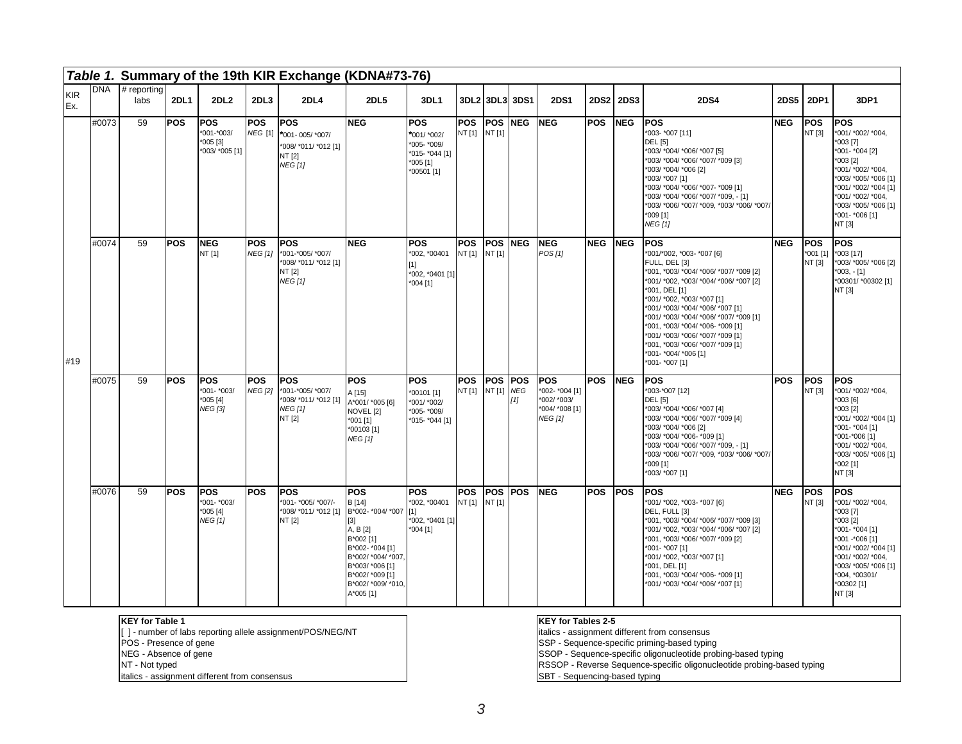|                   |            |                                             |             |                                                          |                              | Table 1. Summary of the 19th KIR Exchange (KDNA#73-76)                             |                                                                                                                                                                                                      |                                                                                   |                      |                           |                |                                                                                 |                 |             |                                                                                                                                                                                                                                                                                                                                                                                                                                |            |                                  |                                                                                                                                                                                                                           |
|-------------------|------------|---------------------------------------------|-------------|----------------------------------------------------------|------------------------------|------------------------------------------------------------------------------------|------------------------------------------------------------------------------------------------------------------------------------------------------------------------------------------------------|-----------------------------------------------------------------------------------|----------------------|---------------------------|----------------|---------------------------------------------------------------------------------|-----------------|-------------|--------------------------------------------------------------------------------------------------------------------------------------------------------------------------------------------------------------------------------------------------------------------------------------------------------------------------------------------------------------------------------------------------------------------------------|------------|----------------------------------|---------------------------------------------------------------------------------------------------------------------------------------------------------------------------------------------------------------------------|
| <b>KIR</b><br>Ex. | <b>DNA</b> | $#$ reporting<br>labs                       | <b>2DL1</b> | 2DL <sub>2</sub>                                         | 2DL3                         | 2DL4                                                                               | <b>2DL5</b>                                                                                                                                                                                          | 3DL1                                                                              |                      |                           | 3DL213DL313DS1 | <b>2DS1</b>                                                                     |                 | 2DS2 2DS3   | <b>2DS4</b>                                                                                                                                                                                                                                                                                                                                                                                                                    | 2DS5       | <b>2DP1</b>                      | 3DP1                                                                                                                                                                                                                      |
|                   | #0073      | 59                                          | <b>POS</b>  | <b>POS</b><br>*001-*003/<br>*005 [3]<br>*003/ *005 [1]   | <b>POS</b><br><b>NEG</b> [1] | <b>POS</b><br>*001-005/*007/<br>008/ *011/ *012 [1]<br>NT [2]<br><b>NEG [1]</b>    | <b>NEG</b>                                                                                                                                                                                           | <b>POS</b><br>*001/ *002/<br>*005- *009/<br>*015- *044 [1]<br>005[1]<br>00501 [1] | <b>POS</b><br>NT [1] | IPOS INEG<br>NT [1]       |                | <b>INEG</b>                                                                     | <b>POS</b>      | <b>INEG</b> | lpos<br>*003- *007 [11]<br><b>DEL</b> [5]<br>*003/ *004/ *006/ *007 [5]<br>*003/ *004/ *006/ *007/ *009 [3]<br>*003/ *004/ *006 [2]<br>*003/ *007 [1]<br>*003/ *004/ *006/ *007- *009 [1]<br>*003/ *004/ *006/ *007/ *009, - [1]<br>*003/ *006/ *007/ *009, *003/ *006/ *007/<br>$*009$ [1]<br><b>NEG [1]</b>                                                                                                                  | <b>NEG</b> | IPOS<br>NT [3]                   | <b>POS</b><br>*001/ *002/ *004.<br>$*003$ [7]<br>*001- *004 [2]<br>*003 [2]<br>*001/ *002/ *004,<br>*003/ *005/ *006 [1]<br>*001/ *002/ *004 [1]<br>*001/ *002/ *004,<br>*003/ *005/ *006 [1]<br>*001- *006 [1]<br>NT [3] |
| #19               | #0074      | 59                                          | <b>POS</b>  | <b>INEG</b><br>NT [1]                                    | POS<br><b>NEG [1]</b>        | <b>POS</b><br>*001-*005/ *007/<br>008/ *011/ *012 [1]<br>NT [2]<br><b>NEG</b> [1]  | <b>INEG</b>                                                                                                                                                                                          | <b>POS</b><br>002, *00401<br>*002, *0401 [1]<br>004 [1]                           | <b>POS</b><br>NT [1] | <b>POS INEG</b><br>NT [1] |                | <b>INEG</b><br>POS[1]                                                           | <b>NEG INEG</b> |             | <b>POS</b><br>*001/*002, *003- *007 [6]<br>FULL, DEL [3]<br>*001, *003/ *004/ *006/ *007/ *009 [2]<br>*001/ *002, *003/ *004/ *006/ *007 [2]<br>*001, DEL [1]<br>*001/ *002, *003/ *007 [1]<br>*001/ *003/ *004/ *006/ *007 [1]<br>*001/ *003/ *004/ *006/ *007/ *009 [1]<br>*001, *003/ *004/ *006- *009 [1]<br>*001/ *003/ *006/ *007/ *009 [1]<br>*001, *003/ *006/ *007/ *009 [1]<br>*001- *004/ *006 [1]<br>*001-*007 [1] | <b>NEG</b> | <b>POS</b><br>*001 [1]<br>NT [3] | <b>POS</b><br>*003 [17]<br>*003/ *005/ *006 [2]<br>$*003, -[1]$<br>*00301/ *00302 [1]<br>NT [3]                                                                                                                           |
|                   | #0075      | 59                                          | <b>POS</b>  | <b>POS</b><br>*001- *003/<br>$*005[4]$<br><b>NEG</b> [3] | <b>POS</b><br><b>NEG [2]</b> | <b>POS</b><br>*001-*005/ *007/<br>*008/ *011/ *012 [1]<br><b>NEG [1]</b><br>NT [2] | <b>POS</b><br>A [15]<br>A*001/ *005 [6]<br>NOVEL <sub>[2]</sub><br>$*001$ [1]<br>*00103 [1]<br><b>NEG</b> [1]                                                                                        | <b>POS</b><br>00101 [1]<br>*001/ *002/<br>*005- *009/<br>*015- *044 [1]           | <b>POS</b><br>NT [1] | lpos Ipos<br>NT[1] NEG    | $[1]$          | <b>POS</b><br>*002- *004 [1]<br>*002/ *003/<br>*004/ *008 [1]<br><b>NEG</b> [1] | <b>POS</b>      | <b>INEG</b> | <b>POS</b><br>*003-*007 [12]<br><b>DEL</b> [5]<br>*003/ *004/ *006/ *007 [4]<br>*003/ *004/ *006/ *007/ *009 [4]<br>*003/ *004/ *006 [2]<br>*003/ *004/ *006- *009 [1]<br>*003/ *004/ *006/ *007/ *009, - [1]<br>*003/ *006/ *007/ *009, *003/ *006/ *007/<br>$*009$ [1]<br>*003/ *007 [1]                                                                                                                                     | <b>POS</b> | IPOS<br>NT [3]                   | <b>POS</b><br>*001/ *002/ *004,<br>$*003[6]$<br>*003 [2]<br>*001/ *002/ *004 [1]<br>*001- *004 [1]<br>*001-*006 [1]<br>*001/ *002/ *004,<br>*003/ *005/ *006 [1]<br>$*002$ [1]<br>NT [3]                                  |
|                   | #0076      | 59                                          | <b>POS</b>  | <b>POS</b><br>*001- *003/<br>$*005[4]$<br><b>NEG</b> [1] | <b>POS</b>                   | <b>POS</b><br>*001- *005/ *007/-<br>*008/ *011/ *012 [1]<br>NT [2]                 | <b>POS</b><br>B [14]<br>B*002- *004/ *007 [1]<br>$^{[3]}$<br>A, B [2]<br>B*002 [1]<br>B*002- *004 [1]<br>B*002/ *004/ *007,<br>B*003/ *006 [1]<br>B*002/ *009 [1]<br>B*002/ *009/ *010,<br>A*005 [1] | <b>POS</b><br>*002, *00401<br>*002, *0401 [1]<br>$*004$ [1]                       | <b>POS</b><br>NT [1] | IPOS IPOS<br>NT [1]       |                | <b>INEG</b>                                                                     | <b>POS</b>      | <b>IPOS</b> | <b>POS</b><br>*001/ *002, *003- *007 [6]<br>DEL, FULL [3]<br>*001, *003/ *004/ *006/ *007/ *009 [3]<br>*001/ *002, *003/ *004/ *006/ *007 [2]<br>*001, *003/ *006/ *007/ *009 [2]<br>*001-*007 [1]<br>*001/ *002, *003/ *007 [1]<br>*001, DEL [1]<br>*001, *003/ *004/ *006- *009 [1]<br>*001/ *003/ *004/ *006/ *007 [1]                                                                                                      | <b>NEG</b> | IPOS<br>NT [3]                   | <b>POS</b><br>*001/ *002/ *004,<br>$*003$ [7]<br>*003 [2]<br>*001- *004 [1]<br>*001 -*006 [1]<br>*001/ *002/ *004 [1]<br>*001/ *002/ *004,<br>*003/ *005/ *006 [1]<br>*004, *00301/<br>*00302 [1]<br>NT [3]               |
|                   |            | $L$ and $L$ and $L$ and $L$ and $L$ and $L$ |             |                                                          |                              |                                                                                    |                                                                                                                                                                                                      |                                                                                   |                      |                           |                | $V = V L + T + L + T$                                                           |                 |             |                                                                                                                                                                                                                                                                                                                                                                                                                                |            |                                  |                                                                                                                                                                                                                           |

#### **KEY for Table 1**

[ ] - number of labs reporting allele assignment/POS/NEG/NT

- POS Presence of gene
- NEG Absence of gene NT - Not typed

italics - assignment different from consensus

#### **KEY for Tables 2-5**

italics - assignment different from consensus

- SSP Sequence-specific priming-based typing
- SSOP Sequence-specific oligonucleotide probing-based typing
- RSSOP Reverse Sequence-specific oligonucleotide probing-based typing

SBT - Sequencing-based typing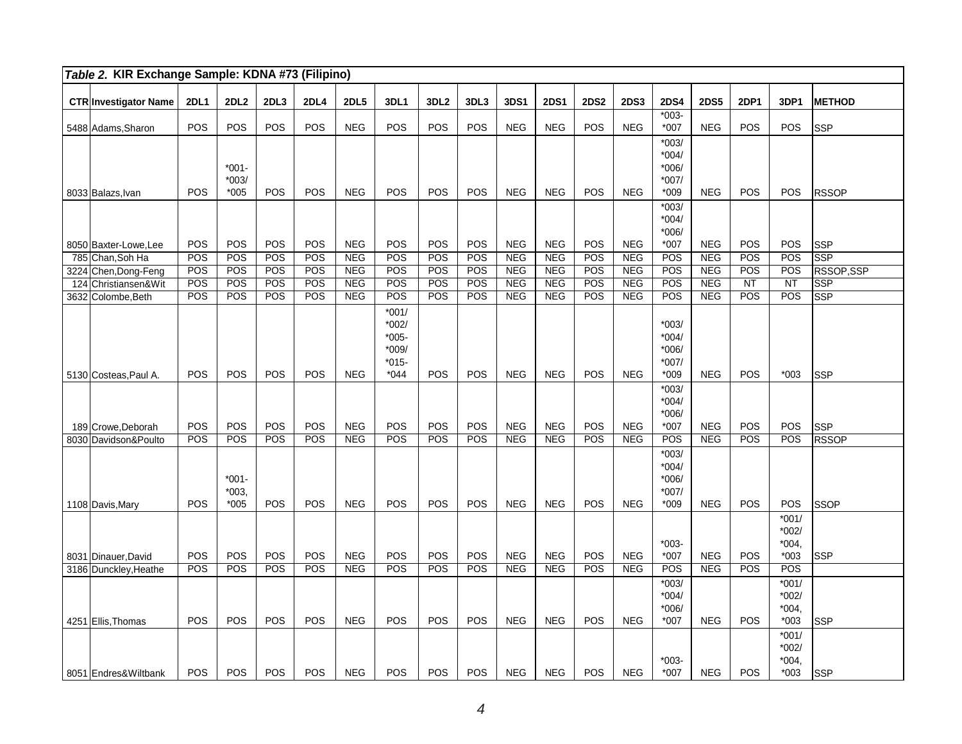| Table 2. KIR Exchange Sample: KDNA #73 (Filipino) |             |                              |            |             |                   |                                                             |                  |            |                   |                          |             |                          |                                                    |                   |            |                                         |                  |
|---------------------------------------------------|-------------|------------------------------|------------|-------------|-------------------|-------------------------------------------------------------|------------------|------------|-------------------|--------------------------|-------------|--------------------------|----------------------------------------------------|-------------------|------------|-----------------------------------------|------------------|
| <b>CTR Investigator Name</b>                      | <b>2DL1</b> | <b>2DL2</b>                  | 2DL3       | <b>2DL4</b> | <b>2DL5</b>       | <b>3DL1</b>                                                 | 3DL <sub>2</sub> | 3DL3       | 3DS1              | <b>2DS1</b>              | <b>2DS2</b> | <b>2DS3</b>              | <b>2DS4</b>                                        | <b>2DS5</b>       | 2DP1       | 3DP1                                    | <b>METHOD</b>    |
| 5488 Adams, Sharon                                | POS         | POS                          | POS        | POS         | <b>NEG</b>        | POS                                                         | POS              | POS        | <b>NEG</b>        | <b>NEG</b>               | POS         | <b>NEG</b>               | $*003-$<br>*007                                    | <b>NEG</b>        | POS        | POS                                     | <b>SSP</b>       |
| 8033 Balazs, Ivan                                 | POS         | $*001-$<br>$*003/$<br>$*005$ | POS        | POS         | <b>NEG</b>        | POS                                                         | POS              | POS        | <b>NEG</b>        | <b>NEG</b>               | <b>POS</b>  | <b>NEG</b>               | $*003/$<br>$*004/$<br>$*006/$<br>$*007/$<br>$*009$ | <b>NEG</b>        | <b>POS</b> | POS                                     | <b>RSSOP</b>     |
| 8050 Baxter-Lowe, Lee                             | POS         | POS                          | POS        | POS         | <b>NEG</b>        | POS                                                         | POS              | POS        | <b>NEG</b>        | <b>NEG</b>               | POS         | <b>NEG</b>               | $*003/$<br>$*004/$<br>$*006/$<br>$*007$            | <b>NEG</b>        | POS        | POS                                     | <b>SSP</b>       |
| 785 Chan, Soh Ha                                  | POS         | <b>POS</b>                   | POS        | POS         | <b>NEG</b>        | POS                                                         | POS              | POS        | <b>NEG</b>        | <b>NEG</b>               | POS         | <b>NEG</b>               | POS                                                | <b>NEG</b>        | POS        | POS                                     | SSP              |
| 3224 Chen, Dong-Feng<br>124 Christiansen&Wit      | POS<br>POS  | POS<br>POS                   | POS<br>POS | POS<br>POS  | NEG<br><b>NEG</b> | POS<br>POS                                                  | POS<br>POS       | POS<br>POS | NEG<br><b>NEG</b> | <b>NEG</b><br><b>NEG</b> | POS<br>POS  | <b>NEG</b><br><b>NEG</b> | POS<br>POS                                         | NEG<br><b>NEG</b> | POS<br>NT  | POS<br>NT                               | RSSOP,SSP<br>SSP |
| 3632 Colombe, Beth                                | POS         | POS                          | POS        | POS         | <b>NEG</b>        | POS                                                         | POS              | POS        | NEG               | <b>NEG</b>               | POS         | <b>NEG</b>               | POS                                                | NEG               | POS        | POS                                     | <b>SSP</b>       |
| 5130 Costeas, Paul A.                             | POS         | POS                          | POS        | POS         | <b>NEG</b>        | $*001/$<br>$*002/$<br>$*005-$<br>*009/<br>$*015-$<br>$*044$ | POS              | POS        | <b>NEG</b>        | <b>NEG</b>               | POS         | <b>NEG</b>               | $*003/$<br>$*004/$<br>$*006/$<br>$*007/$<br>$*009$ | <b>NEG</b>        | POS        | $*003$                                  | <b>SSP</b>       |
| 189 Crowe, Deborah                                | POS         | POS                          | POS        | POS         | <b>NEG</b>        | POS                                                         | POS              | POS        | <b>NEG</b>        | <b>NEG</b>               | POS         | <b>NEG</b>               | $*003/$<br>$*004/$<br>$*006/$<br>$*007$            | <b>NEG</b>        | POS        | POS                                     | <b>SSP</b>       |
| 8030 Davidson&Poulto                              | POS         | <b>POS</b>                   | POS        | POS         | NEG               | POS                                                         | POS              | POS        | NEG               | <b>NEG</b>               | POS         | <b>NEG</b>               | POS                                                | NEG               | POS        | POS                                     | <b>RSSOP</b>     |
| 1108 Davis, Mary                                  | POS         | $*001-$<br>$*003,$<br>$*005$ | POS        | POS         | <b>NEG</b>        | POS                                                         | POS              | POS        | <b>NEG</b>        | <b>NEG</b>               | <b>POS</b>  | <b>NEG</b>               | $*003/$<br>$*004/$<br>$*006/$<br>$*007/$<br>$*009$ | <b>NEG</b>        | POS        | POS                                     | <b>SSOP</b>      |
| 8031 Dinauer, David                               | POS         | POS                          | <b>POS</b> | POS         | <b>NEG</b>        | POS                                                         | POS              | POS        | <b>NEG</b>        | <b>NEG</b>               | POS         | <b>NEG</b>               | $*003-$<br>*007                                    | <b>NEG</b>        | POS        | $*001/$<br>$*002/$<br>$*004.$<br>$*003$ | <b>SSP</b>       |
| 3186 Dunckley, Heathe                             | POS         | <b>POS</b>                   | POS        | POS         | <b>NEG</b>        | POS                                                         | POS              | POS        | <b>NEG</b>        | <b>NEG</b>               | POS         | <b>NEG</b>               | POS                                                | <b>NEG</b>        | POS        | POS                                     |                  |
| 4251 Ellis, Thomas                                | POS         | POS                          | POS        | POS         | <b>NEG</b>        | POS                                                         | POS              | POS        | <b>NEG</b>        | <b>NEG</b>               | POS         | <b>NEG</b>               | $*003/$<br>$*004/$<br>$*006/$<br>$*007$            | <b>NEG</b>        | POS        | $*001/$<br>$*002/$<br>$*004.$<br>$*003$ | <b>SSP</b>       |
| 8051 Endres& Wiltbank                             | POS         | POS                          | POS        | POS         | <b>NEG</b>        | POS                                                         | POS              | POS        | <b>NEG</b>        | <b>NEG</b>               | POS         | <b>NEG</b>               | $*003-$<br>$*007$                                  | <b>NEG</b>        | POS        | $*001/$<br>$*002/$<br>$*004.$<br>$*003$ | <b>SSP</b>       |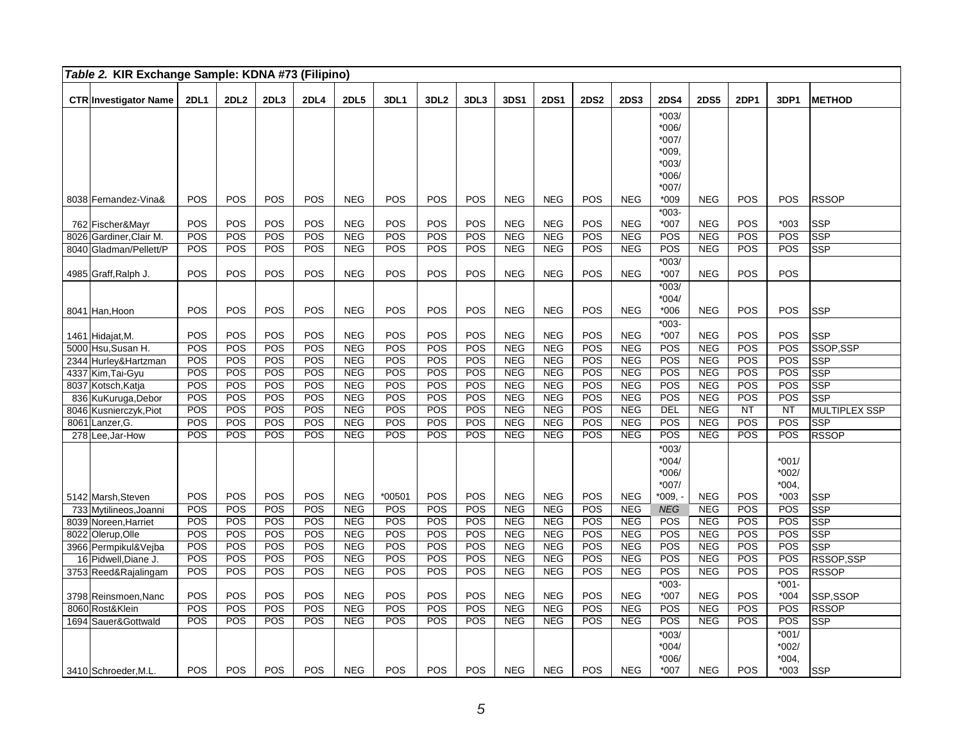|      | Table 2. KIR Exchange Sample: KDNA #73 (Filipino) |             |             |            |             |             |        |                  |            |            |             |             |             |                    |             |             |                    |               |
|------|---------------------------------------------------|-------------|-------------|------------|-------------|-------------|--------|------------------|------------|------------|-------------|-------------|-------------|--------------------|-------------|-------------|--------------------|---------------|
|      | <b>CTR Investigator Name</b>                      | <b>2DL1</b> | <b>2DL2</b> | 2DL3       | <b>2DL4</b> | <b>2DL5</b> | 3DL1   | 3DL <sub>2</sub> | 3DL3       | 3DS1       | <b>2DS1</b> | <b>2DS2</b> | <b>2DS3</b> | <b>2DS4</b>        | <b>2DS5</b> | <b>2DP1</b> | 3DP1               | <b>METHOD</b> |
|      |                                                   |             |             |            |             |             |        |                  |            |            |             |             |             | $*003/$            |             |             |                    |               |
|      |                                                   |             |             |            |             |             |        |                  |            |            |             |             |             | *006/              |             |             |                    |               |
|      |                                                   |             |             |            |             |             |        |                  |            |            |             |             |             | *007/              |             |             |                    |               |
|      |                                                   |             |             |            |             |             |        |                  |            |            |             |             |             | *009.              |             |             |                    |               |
|      |                                                   |             |             |            |             |             |        |                  |            |            |             |             |             | $*003/$            |             |             |                    |               |
|      |                                                   |             |             |            |             |             |        |                  |            |            |             |             |             | *006/              |             |             |                    |               |
|      |                                                   |             |             |            |             |             |        |                  |            |            |             |             |             | *007/              |             |             |                    |               |
|      | 8038 Fernandez-Vina&                              | POS         | POS         | POS        | POS         | <b>NEG</b>  | POS    | POS              | POS        | <b>NEG</b> | <b>NEG</b>  | POS         | <b>NEG</b>  | *009               | <b>NEG</b>  | POS         | <b>POS</b>         | <b>RSSOP</b>  |
|      |                                                   |             |             |            |             |             |        |                  |            |            |             |             |             | $*003-$            |             |             |                    |               |
|      | 762 Fischer&Mayr                                  | POS         | POS         | POS        | POS         | <b>NEG</b>  | POS    | POS              | POS        | <b>NEG</b> | <b>NEG</b>  | POS         | <b>NEG</b>  | $*007$             | <b>NEG</b>  | POS         | $*003$             | <b>SSP</b>    |
|      | 8026 Gardiner, Clair M.                           | POS         | POS         | POS        | POS         | <b>NEG</b>  | POS    | POS              | POS        | NEG        | NEG         | POS         | <b>NEG</b>  | POS                | <b>NEG</b>  | POS         | POS                | SSP           |
|      | 8040 Gladman/Pellett/P                            | POS         | POS         | POS        | POS         | <b>NEG</b>  | POS    | POS              | POS        | <b>NEG</b> | <b>NEG</b>  | POS         | <b>NEG</b>  | POS                | <b>NEG</b>  | POS         | <b>POS</b>         | <b>SSP</b>    |
|      |                                                   |             |             |            |             |             |        |                  |            |            |             |             |             | $*003/$            |             |             |                    |               |
|      | 4985 Graff, Ralph J.                              | POS         | POS         | <b>POS</b> | POS         | <b>NEG</b>  | POS    | <b>POS</b>       | POS        | <b>NEG</b> | <b>NEG</b>  | POS         | <b>NEG</b>  | *007               | <b>NEG</b>  | POS         | <b>POS</b>         |               |
|      |                                                   |             |             |            |             |             |        |                  |            |            |             |             |             | $*003/$            |             |             |                    |               |
|      |                                                   | POS         | POS         | <b>POS</b> | <b>POS</b>  | <b>NEG</b>  | POS    | POS              | POS        | <b>NEG</b> | <b>NEG</b>  | POS         | <b>NEG</b>  | $*004/$<br>$*006$  | <b>NEG</b>  | <b>POS</b>  | <b>POS</b>         |               |
|      | 8041 Han, Hoon                                    |             |             |            |             |             |        |                  |            |            |             |             |             | $*003-$            |             |             |                    | <b>SSP</b>    |
|      |                                                   | POS         | POS         | POS        | POS         | <b>NEG</b>  | POS    | POS              | POS        | <b>NEG</b> | <b>NEG</b>  | POS         | <b>NEG</b>  | $*007$             | <b>NEG</b>  | POS         | <b>POS</b>         | <b>SSP</b>    |
|      | 1461 Hidajat, M.<br>5000 Hsu, Susan H.            | POS         | POS         | POS        | POS         | <b>NEG</b>  | POS    | POS              | POS        | <b>NEG</b> | <b>NEG</b>  | POS         | <b>NEG</b>  | POS                | <b>NEG</b>  | POS         | POS                | SSOP, SSP     |
|      | 2344 Hurley& Hartzman                             | POS         | POS         | POS        | POS         | <b>NEG</b>  | POS    | POS              | POS        | <b>NEG</b> | <b>NEG</b>  | POS         | <b>NEG</b>  | POS                | NEG         | POS         | POS                | <b>SSP</b>    |
|      | 4337 Kim, Tai-Gyu                                 | POS         | POS         | POS        | POS         | <b>NEG</b>  | POS    | POS              | POS        | <b>NEG</b> | <b>NEG</b>  | POS         | <b>NEG</b>  | POS                | <b>NEG</b>  | POS         | POS                | <b>SSP</b>    |
|      | 8037 Kotsch, Katja                                | POS         | POS         | POS        | POS         | <b>NEG</b>  | POS    | POS              | POS        | <b>NEG</b> | <b>NEG</b>  | POS         | <b>NEG</b>  | POS                | <b>NEG</b>  | POS         | POS                | <b>SSP</b>    |
|      | 836 KuKuruga, Debor                               | POS         | POS         | POS        | POS         | <b>NEG</b>  | POS    | POS              | POS        | <b>NEG</b> | <b>NEG</b>  | POS         | <b>NEG</b>  | POS                | NEG         | POS         | <b>POS</b>         | <b>SSP</b>    |
|      | 8046 Kusnierczyk, Piot                            | POS         | POS         | POS        | POS         | <b>NEG</b>  | POS    | POS              | POS        | <b>NEG</b> | <b>NEG</b>  | POS         | <b>NEG</b>  | <b>DEL</b>         | <b>NEG</b>  | <b>NT</b>   | <b>NT</b>          | MULTIPLEX SSP |
| 8061 | Lanzer, G.                                        | POS         | POS         | POS        | POS         | <b>NEG</b>  | POS    | POS              | POS        | <b>NEG</b> | <b>NEG</b>  | POS         | <b>NEG</b>  | POS                | <b>NEG</b>  | POS         | POS                | <b>SSP</b>    |
|      | 278 Lee, Jar-How                                  | POS         | POS         | POS        | POS         | <b>NEG</b>  | POS    | POS              | POS        | <b>NEG</b> | <b>NEG</b>  | POS         | <b>NEG</b>  | POS                | <b>NEG</b>  | POS         | POS                | <b>RSSOP</b>  |
|      |                                                   |             |             |            |             |             |        |                  |            |            |             |             |             | $*003/$            |             |             |                    |               |
|      |                                                   |             |             |            |             |             |        |                  |            |            |             |             |             | $*004/$            |             |             | $*001/$            |               |
|      |                                                   |             |             |            |             |             |        |                  |            |            |             |             |             | *006/              |             |             | $*002/$            |               |
|      |                                                   |             |             |            |             |             |        |                  |            |            |             |             |             | *007/              |             |             | $*004,$            |               |
|      | 5142 Marsh, Steven                                | POS         | POS         | <b>POS</b> | POS         | <b>NEG</b>  | *00501 | POS              | POS        | <b>NEG</b> | <b>NEG</b>  | POS         | <b>NEG</b>  | *009, ·            | <b>NEG</b>  | <b>POS</b>  | $*003$             | <b>SSP</b>    |
|      | 733 Mytilineos, Joanni                            | POS         | POS         | POS        | POS         | <b>NEG</b>  | POS    | POS              | POS        | <b>NEG</b> | <b>NEG</b>  | POS         | <b>NEG</b>  | <b>NEG</b>         | <b>NEG</b>  | POS         | <b>POS</b>         | <b>SSP</b>    |
|      | 8039 Noreen, Harriet                              | POS         | POS         | POS        | POS         | <b>NEG</b>  | POS    | POS              | POS        | <b>NEG</b> | <b>NEG</b>  | POS         | <b>NEG</b>  | POS                | <b>NEG</b>  | POS         | POS                | <b>SSP</b>    |
|      | 8022 Olerup, Olle                                 | POS         | POS         | POS        | POS         | <b>NEG</b>  | POS    | POS              | POS        | <b>NEG</b> | NEG         | POS         | <b>NEG</b>  | POS                | <b>NEG</b>  | POS         | <b>POS</b>         | <b>SSP</b>    |
|      | 3966 Permpikul&Vejba                              | POS         | POS         | POS        | POS         | <b>NEG</b>  | POS    | POS              | POS        | <b>NEG</b> | <b>NEG</b>  | POS         | <b>NEG</b>  | POS                | <b>NEG</b>  | POS         | POS                | <b>SSP</b>    |
|      | 16 Pidwell, Diane J.                              | POS         | POS         | POS        | POS         | <b>NEG</b>  | POS    | POS              | POS        | <b>NEG</b> | <b>NEG</b>  | POS         | <b>NEG</b>  | POS                | <b>NEG</b>  | POS         | POS                | RSSOP,SSP     |
|      | 3753 Reed&Rajalingam                              | POS         | POS         | POS        | POS         | <b>NEG</b>  | POS    | POS              | POS        | <b>NEG</b> | <b>NEG</b>  | POS         | <b>NEG</b>  | POS                | <b>NEG</b>  | POS         | POS                | <b>RSSOP</b>  |
|      |                                                   |             |             |            |             |             |        |                  |            |            |             |             |             | $*003-$            |             |             | $*001 -$           |               |
|      | 3798 Reinsmoen, Nanc                              | POS         | POS         | POS        | POS         | <b>NEG</b>  | POS    | POS              | POS        | <b>NEG</b> | <b>NEG</b>  | POS         | <b>NEG</b>  | $*007$             | <b>NEG</b>  | POS         | $*004$             | SSP,SSOP      |
|      | 8060 Rost&Klein                                   | POS         | POS         | POS        | POS         | <b>NEG</b>  | POS    | POS              | POS        | <b>NEG</b> | <b>NEG</b>  | POS         | <b>NEG</b>  | POS                | <b>NEG</b>  | POS         | POS                | <b>RSSOP</b>  |
|      | 1694 Sauer&Gottwald                               | POS         | POS         | POS        | POS         | <b>NEG</b>  | POS    | POS              | POS        | <b>NEG</b> | <b>NEG</b>  | POS         | <b>NEG</b>  | POS                | <b>NEG</b>  | POS         | POS                | <b>SSP</b>    |
|      |                                                   |             |             |            |             |             |        |                  |            |            |             |             |             | $*003/$            |             |             | $*001/$            |               |
|      |                                                   |             |             |            |             |             |        |                  |            |            |             |             |             | $*004/$<br>$*006/$ |             |             | $*002/$<br>$*004.$ |               |
|      | 3410 Schroeder, M.L.                              | POS         | POS         | <b>POS</b> | POS         | <b>NEG</b>  | POS    | <b>POS</b>       | <b>POS</b> | <b>NEG</b> | <b>NEG</b>  | <b>POS</b>  | <b>NEG</b>  | $*007$             | <b>NEG</b>  | <b>POS</b>  | $*003$             | <b>SSP</b>    |
|      |                                                   |             |             |            |             |             |        |                  |            |            |             |             |             |                    |             |             |                    |               |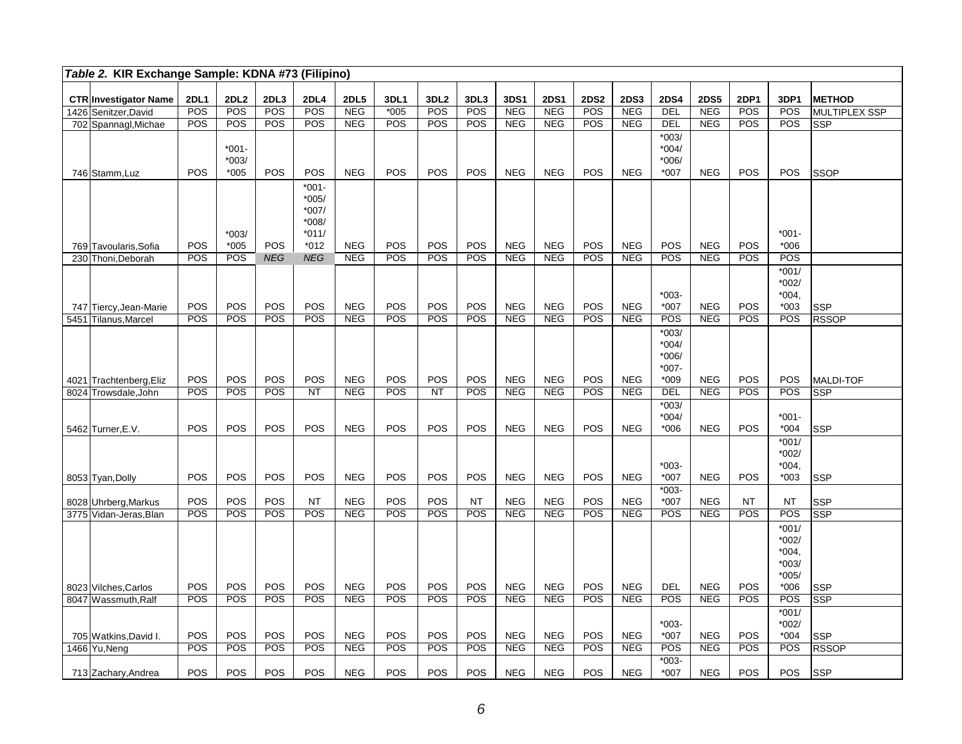| Table 2. KIR Exchange Sample: KDNA #73 (Filipino) |             |                  |            |             |                          |            |                  |                   |                          |                          |             |                          |                      |                          |            |                  |                      |
|---------------------------------------------------|-------------|------------------|------------|-------------|--------------------------|------------|------------------|-------------------|--------------------------|--------------------------|-------------|--------------------------|----------------------|--------------------------|------------|------------------|----------------------|
| <b>CTR Investigator Name</b>                      | <b>2DL1</b> | 2DL <sub>2</sub> | 2DL3       | <b>2DL4</b> | <b>2DL5</b>              | 3DL1       | 3DL <sub>2</sub> | 3DL3              | 3DS1                     | <b>2DS1</b>              | <b>2DS2</b> | <b>2DS3</b>              | <b>2DS4</b>          | <b>2DS5</b>              | 2DP1       | 3DP1             | <b>METHOD</b>        |
| 1426 Senitzer, David                              | POS         | POS              | <b>POS</b> | <b>POS</b>  | <b>NEG</b>               | $*005$     | POS              | POS               | <b>NEG</b>               | <b>NEG</b>               | POS         | <b>NEG</b>               | DEL                  | <b>NEG</b>               | POS        | POS              | <b>MULTIPLEX SSP</b> |
| 702 Spannagl, Michae                              | POS         | POS              | POS        | <b>POS</b>  | <b>NEG</b>               | POS        | POS              | POS               | <b>NEG</b>               | <b>NEG</b>               | POS         | <b>NEG</b>               | DEL                  | <b>NEG</b>               | <b>POS</b> | POS              | <b>SSP</b>           |
|                                                   |             |                  |            |             |                          |            |                  |                   |                          |                          |             |                          | $*003/$              |                          |            |                  |                      |
|                                                   |             | $*001-$          |            |             |                          |            |                  |                   |                          |                          |             |                          | $*004/$              |                          |            |                  |                      |
|                                                   |             | $*003/$          |            |             |                          |            |                  |                   |                          |                          |             |                          | $*006/$              |                          |            |                  |                      |
| 746 Stamm, Luz                                    | POS         | $*005$           | POS        | POS         | <b>NEG</b>               | POS        | POS              | POS               | <b>NEG</b>               | <b>NEG</b>               | POS         | <b>NEG</b>               | *007                 | <b>NEG</b>               | POS        | POS              | <b>SSOP</b>          |
|                                                   |             |                  |            | $*001 -$    |                          |            |                  |                   |                          |                          |             |                          |                      |                          |            |                  |                      |
|                                                   |             |                  |            | $*005/$     |                          |            |                  |                   |                          |                          |             |                          |                      |                          |            |                  |                      |
|                                                   |             |                  |            | $*007/$     |                          |            |                  |                   |                          |                          |             |                          |                      |                          |            |                  |                      |
|                                                   |             |                  |            | $*008/$     |                          |            |                  |                   |                          |                          |             |                          |                      |                          |            |                  |                      |
|                                                   |             | $*003/$          |            | $*011/$     |                          |            |                  |                   |                          |                          |             |                          |                      |                          |            | $*001 -$         |                      |
| 769 Tavoularis, Sofia                             | POS         | $*005$           | POS        | $*012$      | <b>NEG</b>               | POS        | POS              | POS               | <b>NEG</b>               | <b>NEG</b>               | POS         | <b>NEG</b>               | <b>POS</b>           | NEG                      | POS        | *006             |                      |
| 230 Thoni, Deborah                                | POS         | POS              | <b>NEG</b> | <b>NEG</b>  | <b>NEG</b>               | POS        | POS              | POS               | NEG                      | <b>NEG</b>               | POS         | <b>NEG</b>               | POS                  | <b>NEG</b>               | POS        | POS              |                      |
|                                                   |             |                  |            |             |                          |            |                  |                   |                          |                          |             |                          |                      |                          |            | $*001/$          |                      |
|                                                   |             |                  |            |             |                          |            |                  |                   |                          |                          |             |                          |                      |                          |            | $*002/$          |                      |
|                                                   |             |                  |            |             |                          |            |                  |                   |                          |                          |             |                          | $*003-$              |                          |            | $*004.$          |                      |
| 747 Tiercy, Jean-Marie                            | POS         | POS              | POS        | POS         | <b>NEG</b>               | POS        | POS              | POS               | <b>NEG</b>               | <b>NEG</b>               | POS         | <b>NEG</b>               | $*007$               | <b>NEG</b>               | POS        | $*003$           | <b>SSP</b>           |
| 5451 Tilanus, Marcel                              | POS         | POS              | POS        | POS         | <b>NEG</b>               | POS        | POS              | POS               | <b>NEG</b>               | <b>NEG</b>               | POS         | <b>NEG</b>               | POS                  | <b>NEG</b>               | POS        | POS              | <b>RSSOP</b>         |
|                                                   |             |                  |            |             |                          |            |                  |                   |                          |                          |             |                          | $*003/$              |                          |            |                  |                      |
|                                                   |             |                  |            |             |                          |            |                  |                   |                          |                          |             |                          | $*004/$              |                          |            |                  |                      |
|                                                   |             |                  |            |             |                          |            |                  |                   |                          |                          |             |                          | $*006/$              |                          |            |                  |                      |
|                                                   |             |                  |            |             |                          |            |                  |                   |                          |                          |             |                          | $*007 -$             |                          |            |                  |                      |
| 4021 Trachtenberg, Eliz                           | POS<br>POS  | POS<br>POS       | POS<br>POS | POS<br>NT   | <b>NEG</b><br><b>NEG</b> | POS<br>POS | POS<br><b>NT</b> | <b>POS</b><br>POS | <b>NEG</b><br><b>NEG</b> | <b>NEG</b><br><b>NEG</b> | POS<br>POS  | <b>NEG</b><br><b>NEG</b> | $*009$<br><b>DEL</b> | <b>NEG</b><br><b>NEG</b> | POS<br>POS | POS<br>POS       | <b>MALDI-TOF</b>     |
| 8024 Trowsdale, John                              |             |                  |            |             |                          |            |                  |                   |                          |                          |             |                          | $*003/$              |                          |            |                  | <b>SSP</b>           |
|                                                   |             |                  |            |             |                          |            |                  |                   |                          |                          |             |                          | $*004/$              |                          |            | $*001 -$         |                      |
| 5462 Turner, E.V.                                 | POS         | POS              | POS        | POS         | <b>NEG</b>               | POS        | POS              | POS               | <b>NEG</b>               | <b>NEG</b>               | POS         | <b>NEG</b>               | $*006$               | <b>NEG</b>               | POS        | $*004$           | <b>SSP</b>           |
|                                                   |             |                  |            |             |                          |            |                  |                   |                          |                          |             |                          |                      |                          |            | $*001/$          |                      |
|                                                   |             |                  |            |             |                          |            |                  |                   |                          |                          |             |                          |                      |                          |            | $*002/$          |                      |
|                                                   |             |                  |            |             |                          |            |                  |                   |                          |                          |             |                          | $*003-$              |                          |            | $*004,$          |                      |
| 8053 Tyan, Dolly                                  | POS         | POS              | POS        | POS         | <b>NEG</b>               | POS        | POS              | <b>POS</b>        | <b>NEG</b>               | <b>NEG</b>               | POS         | <b>NEG</b>               | $*007$               | <b>NEG</b>               | POS        | $*003$           | <b>SSP</b>           |
|                                                   |             |                  |            |             |                          |            |                  |                   |                          |                          |             |                          | $*003-$              |                          |            |                  |                      |
| 8028 Uhrberg, Markus                              | POS         | POS              | POS        | <b>NT</b>   | <b>NEG</b>               | POS        | POS              | <b>NT</b>         | <b>NEG</b>               | <b>NEG</b>               | POS         | <b>NEG</b>               | $*007$               | <b>NEG</b>               | <b>NT</b>  | NT.              | <b>SSP</b>           |
| 3775 Vidan-Jeras, Blan                            | POS         | POS              | POS        | POS         | <b>NEG</b>               | POS        | POS              | POS               | <b>NEG</b>               | <b>NEG</b>               | POS         | <b>NEG</b>               | POS                  | NEG                      | POS        | $\overline{POS}$ | <b>SSP</b>           |
|                                                   |             |                  |            |             |                          |            |                  |                   |                          |                          |             |                          |                      |                          |            | $*001/$          |                      |
|                                                   |             |                  |            |             |                          |            |                  |                   |                          |                          |             |                          |                      |                          |            | $*002/$          |                      |
|                                                   |             |                  |            |             |                          |            |                  |                   |                          |                          |             |                          |                      |                          |            | $*004,$          |                      |
|                                                   |             |                  |            |             |                          |            |                  |                   |                          |                          |             |                          |                      |                          |            | $*003/$          |                      |
|                                                   |             |                  |            |             |                          |            |                  |                   |                          |                          |             |                          |                      |                          |            | $*005/$          |                      |
| 8023 Vilches, Carlos                              | POS         | POS              | POS        | POS         | <b>NEG</b>               | POS        | POS              | POS               | <b>NEG</b>               | <b>NEG</b>               | POS         | <b>NEG</b>               | <b>DEL</b>           | <b>NEG</b>               | POS        | $*006$           | <b>SSP</b>           |
| 8047 Wassmuth, Ralf                               | POS         | POS              | POS        | POS         | <b>NEG</b>               | POS        | POS              | POS               | <b>NEG</b>               | <b>NEG</b>               | POS         | <b>NEG</b>               | POS                  | <b>NEG</b>               | POS        | POS              | <b>SSP</b>           |
|                                                   |             |                  |            |             |                          |            |                  |                   |                          |                          |             |                          |                      |                          |            | $*001/$          |                      |
|                                                   |             |                  |            |             |                          |            |                  |                   |                          |                          |             |                          | $*003-$              |                          |            | $*002/$          |                      |
| 705 Watkins, David I.                             | POS         | POS              | POS        | POS         | <b>NEG</b>               | POS        | POS              | POS               | <b>NEG</b>               | <b>NEG</b>               | POS         | <b>NEG</b>               | *007                 | <b>NEG</b>               | POS        | $*004$           | <b>SSP</b>           |
| 1466 Yu, Neng                                     | POS         | POS              | <b>POS</b> | POS         | <b>NEG</b>               | POS        | POS              | POS               | <b>NEG</b>               | <b>NEG</b>               | POS         | <b>NEG</b>               | POS                  | <b>NEG</b>               | POS        | POS              | <b>RSSOP</b>         |
|                                                   |             |                  |            |             |                          |            |                  |                   |                          |                          |             |                          | $*003-$              |                          |            |                  |                      |
| 713 Zachary, Andrea                               | POS         | POS              | POS        | POS         | <b>NEG</b>               | POS        | <b>POS</b>       | POS               | <b>NEG</b>               | <b>NEG</b>               | POS         | <b>NEG</b>               | *007                 | <b>NEG</b>               | POS        | <b>POS</b>       | <b>SSP</b>           |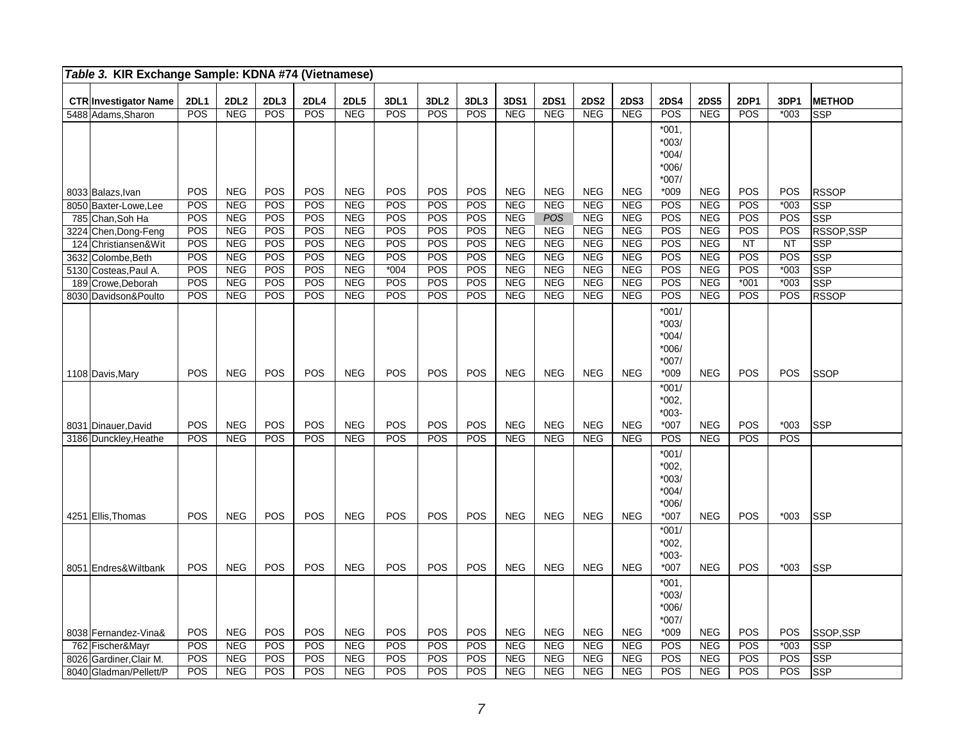|      | Table 3. KIR Exchange Sample: KDNA #74 (Vietnamese) |             |             |            |            |             |            |                  |            |            |             |             |             |                                                             |            |                 |           |               |
|------|-----------------------------------------------------|-------------|-------------|------------|------------|-------------|------------|------------------|------------|------------|-------------|-------------|-------------|-------------------------------------------------------------|------------|-----------------|-----------|---------------|
|      | <b>CTR Investigator Name</b>                        | <b>2DL1</b> | <b>2DL2</b> | 2DL3       | 2DL4       | <b>2DL5</b> | 3DL1       | 3DL <sub>2</sub> | 3DL3       | 3DS1       | <b>2DS1</b> | <b>2DS2</b> | <b>2DS3</b> | <b>2DS4</b>                                                 | 2DS5       | <b>2DP1</b>     | 3DP1      | <b>METHOD</b> |
|      | 5488 Adams, Sharon                                  | POS         | NEG         | POS        | POS        | <b>NEG</b>  | POS        | POS              | POS        | <b>NEG</b> | NEG         | <b>NEG</b>  | NEG         | POS                                                         | <b>NEG</b> | POS             | $*003$    | <b>SSP</b>    |
|      |                                                     |             |             |            |            |             |            |                  |            |            |             |             |             | $*001,$<br>$*003/$<br>$*004/$<br>$*006/$                    |            |                 |           |               |
|      | 8033 Balazs, Ivan                                   | POS         | <b>NEG</b>  | POS        | POS        | <b>NEG</b>  | POS        | POS              | POS        | <b>NEG</b> | <b>NEG</b>  | <b>NEG</b>  | <b>NEG</b>  | $*007/$<br>$*009$                                           | <b>NEG</b> | POS             | POS       | <b>RSSOP</b>  |
|      | 8050 Baxter-Lowe, Lee                               | POS         | NEG         | POS        | POS        | NEG         | POS        | POS              | POS        | <b>NEG</b> | NEG         | <b>NEG</b>  | <b>NEG</b>  | POS                                                         | NEG        | POS             | $*003$    | SSP           |
|      | 785 Chan, Soh Ha                                    | POS         | <b>NEG</b>  | POS        | POS        | <b>NEG</b>  | POS        | POS              | POS        | <b>NEG</b> | <b>POS</b>  | <b>NEG</b>  | <b>NEG</b>  | POS                                                         | <b>NEG</b> | POS             | POS       | <b>SSP</b>    |
|      | 3224 Chen, Dong-Feng                                | <b>POS</b>  | <b>NEG</b>  | POS        | <b>POS</b> | <b>NEG</b>  | POS        | POS              | POS        | <b>NEG</b> | <b>NEG</b>  | <b>NEG</b>  | <b>NEG</b>  | POS                                                         | <b>NEG</b> | POS             | POS       | RSSOP,SSP     |
|      | 124 Christiansen& Wit                               | POS         | <b>NEG</b>  | POS        | POS        | <b>NEG</b>  | POS        | POS              | <b>POS</b> | <b>NEG</b> | <b>NEG</b>  | <b>NEG</b>  | <b>NEG</b>  | POS                                                         | <b>NEG</b> | $\overline{NT}$ | <b>NT</b> | <b>SSP</b>    |
| 3632 | Colombe, Beth                                       | POS         | <b>NEG</b>  | POS        | POS        | <b>NEG</b>  | POS        | POS              | POS        | <b>NEG</b> | <b>NEG</b>  | <b>NEG</b>  | <b>NEG</b>  | POS                                                         | <b>NEG</b> | POS             | POS       | <b>SSP</b>    |
|      | 5130 Costeas, Paul A.                               | POS         | <b>NEG</b>  | POS        | POS        | NEG         | $*004$     | POS              | POS        | <b>NEG</b> | NEG         | <b>NEG</b>  | <b>NEG</b>  | POS                                                         | <b>NEG</b> | POS             | $*003$    | SSP           |
| 189  | Crowe, Deborah                                      | POS         | NEG         | POS        | POS        | NEG         | POS        | POS              | POS        | NEG        | <b>NEG</b>  | <b>NEG</b>  | <b>NEG</b>  | POS                                                         | NEG        | $*001$          | $*003$    | <b>SSP</b>    |
|      | 8030 Davidson&Poulto                                | POS         | <b>NEG</b>  | POS        | <b>POS</b> | NEG         | POS        | POS              | POS        | NEG        | NEG         | <b>NEG</b>  | <b>NEG</b>  | POS                                                         | NEG        | POS             | POS       | <b>RSSOP</b>  |
|      | 1108 Davis, Mary                                    | POS         | <b>NEG</b>  | POS        | POS        | <b>NEG</b>  | POS        | POS              | POS        | <b>NEG</b> | <b>NEG</b>  | <b>NEG</b>  | <b>NEG</b>  | $*001/$<br>$*003/$<br>$*004/$<br>$*006/$<br>$*007/$<br>*009 | <b>NEG</b> | POS             | POS       | <b>SSOP</b>   |
|      | 8031 Dinauer, David                                 | <b>POS</b>  | <b>NEG</b>  | POS        | POS        | <b>NEG</b>  | <b>POS</b> | POS              | POS        | <b>NEG</b> | <b>NEG</b>  | <b>NEG</b>  | <b>NEG</b>  | $*001/$<br>$*002,$<br>$*003-$<br>*007                       | <b>NEG</b> | POS             | $*003$    | SSP           |
|      | 3186 Dunckley, Heathe                               | POS         | <b>NEG</b>  | POS        | POS        | NEG         | POS        | POS              | POS        | <b>NEG</b> | NEG         | <b>NEG</b>  | <b>NEG</b>  | POS                                                         | NEG        | POS             | POS       |               |
|      |                                                     | POS         |             | <b>POS</b> | POS        |             | POS        | POS              | POS        | <b>NEG</b> | <b>NEG</b>  |             | <b>NEG</b>  | $*001/$<br>$*002,$<br>$*003/$<br>$*004/$<br>$*006/$         | <b>NEG</b> | POS             | $*003$    |               |
|      | 4251 Ellis, Thomas                                  |             | <b>NEG</b>  |            |            | <b>NEG</b>  |            |                  |            |            |             | <b>NEG</b>  |             | $*007$                                                      |            |                 |           | SSP           |
|      | 8051 Endres& Wiltbank                               | POS         | <b>NEG</b>  | POS        | POS        | <b>NEG</b>  | POS        | POS              | POS        | <b>NEG</b> | <b>NEG</b>  | <b>NEG</b>  | <b>NEG</b>  | $*001/$<br>$*002,$<br>$*003-$<br>$*007$                     | <b>NEG</b> | POS             | $*003$    | <b>SSP</b>    |
|      |                                                     |             |             |            |            |             |            |                  |            |            |             |             |             | $*001,$<br>$*003/$<br>$*006/$<br>$*007/$                    |            |                 |           |               |
|      | 8038 Fernandez-Vina&                                | POS         | <b>NEG</b>  | POS        | POS        | <b>NEG</b>  | POS        | POS              | POS        | <b>NEG</b> | <b>NEG</b>  | <b>NEG</b>  | <b>NEG</b>  | $*009$                                                      | <b>NEG</b> | POS             | POS       | SSOP,SSP      |
|      | 762 Fischer&Mayr                                    | POS         | <b>NEG</b>  | POS        | <b>POS</b> | <b>NEG</b>  | POS        | POS              | POS        | <b>NEG</b> | <b>NEG</b>  | <b>NEG</b>  | <b>NEG</b>  | POS                                                         | <b>NEG</b> | POS             | $*003$    | <b>SSP</b>    |
| 8026 | Gardiner, Clair M.                                  | <b>POS</b>  | <b>NEG</b>  | POS        | <b>POS</b> | <b>NEG</b>  | POS        | POS              | POS        | <b>NEG</b> | <b>NEG</b>  | <b>NEG</b>  | <b>NEG</b>  | POS                                                         | <b>NEG</b> | POS             | POS       | <b>SSP</b>    |
|      | 8040 Gladman/Pellett/P                              | POS         | <b>NEG</b>  | POS        | POS        | <b>NEG</b>  | POS        | POS              | POS        | <b>NEG</b> | <b>NEG</b>  | <b>NEG</b>  | <b>NEG</b>  | POS                                                         | <b>NEG</b> | POS             | POS       | SSP           |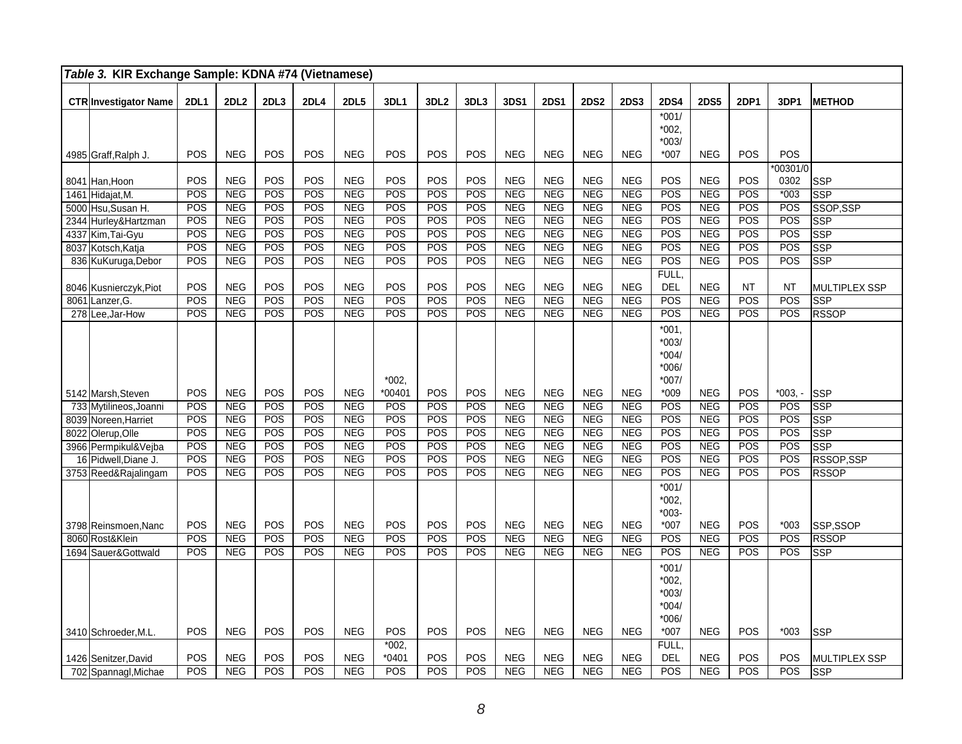| Table 3. KIR Exchange Sample: KDNA #74 (Vietnamese) |             |             |      |                  |             |                    |                  |      |            |             |             |             |                                                     |             |           |                    |                         |
|-----------------------------------------------------|-------------|-------------|------|------------------|-------------|--------------------|------------------|------|------------|-------------|-------------|-------------|-----------------------------------------------------|-------------|-----------|--------------------|-------------------------|
| <b>CTR Investigator Name</b>                        | <b>2DL1</b> | <b>2DL2</b> | 2DL3 | <b>2DL4</b>      | <b>2DL5</b> | 3DL1               | 3DL <sub>2</sub> | 3DL3 | 3DS1       | <b>2DS1</b> | <b>2DS2</b> | <b>2DS3</b> | <b>2DS4</b>                                         | <b>2DS5</b> | 2DP1      | 3DP1               | <b>METHOD</b>           |
|                                                     |             |             |      |                  |             |                    |                  |      |            |             |             |             | $*001/$<br>$*002,$<br>$*003/$                       |             |           |                    |                         |
| 4985 Graff, Ralph J.                                | POS         | <b>NEG</b>  | POS  | POS              | <b>NEG</b>  | POS                | POS              | POS  | <b>NEG</b> | <b>NEG</b>  | <b>NEG</b>  | <b>NEG</b>  | $*007$                                              | <b>NEG</b>  | POS       | POS                |                         |
| 8041 Han, Hoon                                      | POS         | <b>NEG</b>  | POS  | POS              | <b>NEG</b>  | POS                | POS              | POS  | <b>NEG</b> | <b>NEG</b>  | <b>NEG</b>  | <b>NEG</b>  | POS                                                 | <b>NEG</b>  | POS       | $*00301/0$<br>0302 | <b>SSP</b>              |
| 1461 Hidajat, M.                                    | POS         | NEG         | POS  | POS              | NEG         | POS                | POS              | POS  | NEG        | NEG         | NEG         | NEG         | POS                                                 | NEG         | POS       | $*003$             | SSP                     |
| 5000 Hsu, Susan H.                                  | POS         | <b>NEG</b>  | POS  | POS              | <b>NEG</b>  | POS                | POS              | POS  | <b>NEG</b> | <b>NEG</b>  | <b>NEG</b>  | <b>NEG</b>  | POS                                                 | <b>NEG</b>  | POS       | POS                | SSOP,SSP                |
| 2344 Hurley&Hartzman                                | POS         | NEG         | POS  | POS              | NEG         | POS                | POS              | POS  | NEG        | NEG         | NEG         | NEG         | POS                                                 | NEG         | POS       | POS                | SSP                     |
| 4337 Kim, Tai-Gyu                                   | POS         | <b>NEG</b>  | POS  | $\overline{POS}$ | NEG         | POS                | POS              | POS  | <b>NEG</b> | <b>NEG</b>  | NEG         | <b>NEG</b>  | $\overline{POS}$                                    | <b>NEG</b>  | POS       | POS                | SSP                     |
| 8037 Kotsch, Katja                                  | POS         | <b>NEG</b>  | POS  | POS              | <b>NEG</b>  | POS                | POS              | POS  | <b>NEG</b> | <b>NEG</b>  | <b>NEG</b>  | <b>NEG</b>  | POS                                                 | <b>NEG</b>  | POS       | POS                | $\overline{\text{SSP}}$ |
| 836 KuKuruga, Debor                                 | POS         | <b>NEG</b>  | POS  | POS              | <b>NEG</b>  | POS                | POS              | POS  | <b>NEG</b> | <b>NEG</b>  | <b>NEG</b>  | <b>NEG</b>  | POS                                                 | NEG         | POS       | POS                | $\overline{\text{SSP}}$ |
|                                                     |             |             |      |                  |             |                    |                  |      |            |             |             |             | FULL,                                               |             |           |                    |                         |
| 8046 Kusnierczyk, Piot                              | POS         | <b>NEG</b>  | POS  | POS              | <b>NEG</b>  | POS                | POS              | POS  | <b>NEG</b> | <b>NEG</b>  | <b>NEG</b>  | <b>NEG</b>  | DEL                                                 | <b>NEG</b>  | <b>NT</b> | NT                 | <b>MULTIPLEX SSP</b>    |
| 8061 Lanzer, G.                                     | POS         | <b>NEG</b>  | POS  | POS              | <b>NEG</b>  | POS                | POS              | POS  | <b>NEG</b> | <b>NEG</b>  | <b>NEG</b>  | <b>NEG</b>  | POS                                                 | <b>NEG</b>  | POS       | POS                | <b>SSP</b>              |
| 278 Lee, Jar-How                                    | POS         | <b>NEG</b>  | POS  | POS              | <b>NEG</b>  | POS                | POS              | POS  | <b>NEG</b> | <b>NEG</b>  | <b>NEG</b>  | <b>NEG</b>  | POS                                                 | <b>NEG</b>  | POS       | POS                | <b>RSSOP</b>            |
|                                                     |             |             |      |                  |             | $*002.$            |                  |      |            |             |             |             | $*001$<br>$*003/$<br>$*004/$<br>*006/<br>$*007/$    |             |           |                    |                         |
| 5142 Marsh, Steven                                  | POS         | <b>NEG</b>  | POS  | POS              | <b>NEG</b>  | $*00401$           | POS              | POS  | <b>NEG</b> | <b>NEG</b>  | <b>NEG</b>  | <b>NEG</b>  | $*009$                                              | <b>NEG</b>  | POS       | $*003. -$          | SSP                     |
| 733 Mytilineos, Joanni                              | POS         | NEG         | POS  | POS              | NEG         | POS                | POS              | POS  | <b>NEG</b> | <b>NEG</b>  | <b>NEG</b>  | NEG         | POS                                                 | NEG         | POS       | POS                | <b>SSP</b>              |
| 8039 Noreen, Harriet                                | POS         | NEG         | POS  | POS              | NEG         | POS                | POS              | POS  | <b>NEG</b> | NEG         | NEG         | <b>NEG</b>  | $\overline{POS}$                                    | NEG         | POS       | POS                | SSP                     |
| 8022 Olerup, Olle                                   | POS         | NEG         | POS  | POS              | <b>NEG</b>  | POS                | POS              | POS  | <b>NEG</b> | <b>NEG</b>  | <b>NEG</b>  | <b>NEG</b>  | POS                                                 | <b>NEG</b>  | POS       | POS                | SSP                     |
| 3966 Permpikul&Vejba                                | POS         | <b>NEG</b>  | POS  | POS              | <b>NEG</b>  | POS                | POS              | POS  | <b>NEG</b> | <b>NEG</b>  | <b>NEG</b>  | <b>NEG</b>  | POS                                                 | <b>NEG</b>  | POS       | POS                | <b>SSP</b>              |
| 16 Pidwell, Diane J.                                | POS         | <b>NEG</b>  | POS  | POS              | <b>NEG</b>  | POS                | POS              | POS  | <b>NEG</b> | <b>NEG</b>  | <b>NEG</b>  | <b>NEG</b>  | <b>POS</b>                                          | <b>NEG</b>  | POS       | POS                | RSSOP, SSP              |
| 3753 Reed&Rajalingam                                | POS         | <b>NEG</b>  | POS  | POS              | <b>NEG</b>  | POS                | POS              | POS  | <b>NEG</b> | <b>NEG</b>  | <b>NEG</b>  | <b>NEG</b>  | POS                                                 | <b>NEG</b>  | POS       | POS                | <b>RSSOP</b>            |
| 3798 Reinsmoen, Nanc                                | POS         | <b>NEG</b>  | POS  | POS              | <b>NEG</b>  | POS                | POS              | POS  | <b>NEG</b> | <b>NEG</b>  | <b>NEG</b>  | <b>NEG</b>  | $*001/$<br>$*002,$<br>$*003-$<br>$*007$             | <b>NEG</b>  | POS       | $*003$             | SSP,SSOP                |
| 8060 Rost&Klein                                     | POS         | NEG         | POS  | POS              | <b>NEG</b>  | POS                | POS              | POS  | <b>NEG</b> | NEG         | <b>NEG</b>  | <b>NEG</b>  | POS                                                 | NEG         | POS       | POS                | <b>RSSOP</b>            |
| 1694 Sauer&Gottwald                                 | POS         | <b>NEG</b>  | POS  | POS              | <b>NEG</b>  | POS                | POS              | POS  | <b>NEG</b> | <b>NEG</b>  | <b>NEG</b>  | <b>NEG</b>  | POS                                                 | <b>NEG</b>  | POS       | POS                | <b>SSP</b>              |
|                                                     |             |             |      |                  |             |                    |                  |      |            |             |             |             | $*001/$<br>$*002,$<br>$*003/$<br>$*004/$<br>$*006/$ |             |           |                    |                         |
| 3410 Schroeder, M.L.                                | POS         | <b>NEG</b>  | POS  | POS              | <b>NEG</b>  | POS                | POS              | POS  | <b>NEG</b> | NEG         | <b>NEG</b>  | <b>NEG</b>  | $*007$                                              | <b>NEG</b>  | POS       | $*003$             | <b>SSP</b>              |
| 1426 Senitzer, David                                | POS         | <b>NEG</b>  | POS  | POS              | <b>NEG</b>  | $*002,$<br>$*0401$ | POS              | POS  | <b>NEG</b> | <b>NEG</b>  | <b>NEG</b>  | <b>NEG</b>  | FULL,<br><b>DEL</b>                                 | <b>NEG</b>  | POS       | POS                | MULTIPLEX SSP           |
| 702 Spannagl, Michae                                | POS         | NEG         | POS  | POS              | NEG         | POS                | POS              | POS  | <b>NEG</b> | <b>NEG</b>  | NEG         | <b>NEG</b>  | POS                                                 | NEG         | POS       | POS                | <b>SSP</b>              |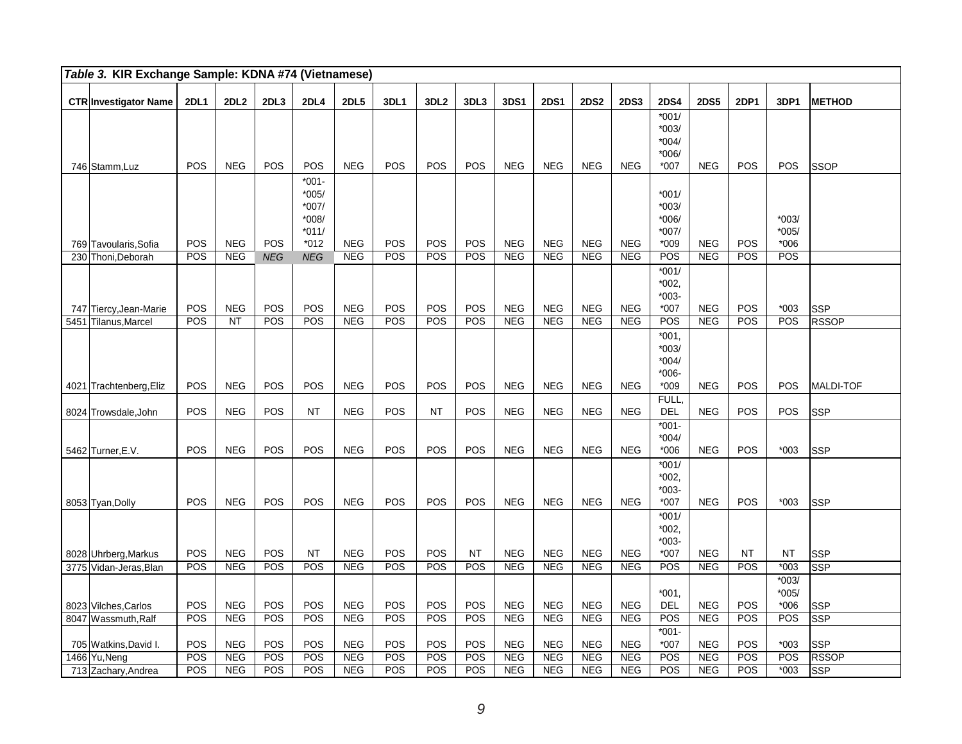| Table 3. KIR Exchange Sample: KDNA #74 (Vietnamese) |             |                          |            |                                                         |                          |            |                  |            |                          |                          |                          |                          |                                                  |                          |                  |                              |                          |
|-----------------------------------------------------|-------------|--------------------------|------------|---------------------------------------------------------|--------------------------|------------|------------------|------------|--------------------------|--------------------------|--------------------------|--------------------------|--------------------------------------------------|--------------------------|------------------|------------------------------|--------------------------|
| <b>CTR Investigator Name</b>                        | <b>2DL1</b> | 2DL <sub>2</sub>         | 2DL3       | <b>2DL4</b>                                             | <b>2DL5</b>              | 3DL1       | 3DL <sub>2</sub> | 3DL3       | 3DS1                     | <b>2DS1</b>              | <b>2DS2</b>              | <b>2DS3</b>              | <b>2DS4</b>                                      | <b>2DS5</b>              | <b>2DP1</b>      | 3DP1                         | <b>METHOD</b>            |
| 746 Stamm, Luz                                      | POS         | <b>NEG</b>               | POS        | POS                                                     | <b>NEG</b>               | POS        | POS              | POS        | <b>NEG</b>               | <b>NEG</b>               | <b>NEG</b>               | <b>NEG</b>               | $*001/$<br>$*003/$<br>$*004/$<br>*006/<br>$*007$ | <b>NEG</b>               | POS              | POS                          | <b>SSOP</b>              |
| 769 Tavoularis, Sofia                               | <b>POS</b>  | <b>NEG</b>               | <b>POS</b> | *001-<br>$*005/$<br>*007/<br>*008/<br>$*011/$<br>$*012$ | <b>NEG</b>               | POS        | POS              | POS        | <b>NEG</b>               | NEG                      | <b>NEG</b>               | <b>NEG</b>               | $*001/$<br>$*003/$<br>*006/<br>$*007/$<br>$*009$ | <b>NEG</b>               | <b>POS</b>       | $*003/$<br>$*005/$<br>$*006$ |                          |
| 230 Thoni.Deborah                                   | POS         | NEG                      | <b>NEG</b> | <b>NEG</b>                                              | NEG                      | POS        | POS              | POS        | NEG                      | <b>NEG</b>               | <b>NEG</b>               | <b>NEG</b>               | POS                                              | NEG                      | POS              | POS                          |                          |
| 747 Tiercy, Jean-Marie                              | POS         | <b>NEG</b>               | POS        | POS                                                     | <b>NEG</b>               | POS        | POS              | POS        | <b>NEG</b>               | <b>NEG</b>               | <b>NEG</b>               | <b>NEG</b>               | $*001/$<br>$*002,$<br>$*003-$<br>*007            | <b>NEG</b>               | POS              | $*003$                       | <b>SSP</b>               |
| 5451 Tilanus, Marcel                                | POS         | <b>NT</b>                | POS        | POS                                                     | <b>NEG</b>               | POS        | POS              | POS        | <b>NEG</b>               | <b>NEG</b>               | <b>NEG</b>               | <b>NEG</b>               | POS                                              | <b>NEG</b>               | POS              | POS                          | <b>RSSOP</b>             |
|                                                     |             |                          |            |                                                         |                          |            |                  |            |                          |                          |                          |                          | $*001,$<br>$*003/$<br>$*004/$<br>$*006-$         |                          |                  |                              |                          |
| 4021 Trachtenberg, Eliz                             | POS         | <b>NEG</b>               | POS        | POS                                                     | <b>NEG</b>               | POS        | POS              | POS        | <b>NEG</b>               | <b>NEG</b>               | <b>NEG</b>               | <b>NEG</b>               | $*009$                                           | <b>NEG</b>               | POS              | <b>POS</b>                   | MALDI-TOF                |
| 8024 Trowsdale, John                                | POS         | <b>NEG</b>               | POS        | <b>NT</b>                                               | <b>NEG</b>               | <b>POS</b> | <b>NT</b>        | POS        | <b>NEG</b>               | <b>NEG</b>               | <b>NEG</b>               | <b>NEG</b>               | FULL.<br>DEL                                     | <b>NEG</b>               | POS              | POS                          | <b>SSP</b>               |
| 5462 Turner, E.V.                                   | POS         | <b>NEG</b>               | POS        | POS                                                     | <b>NEG</b>               | POS        | POS              | POS        | <b>NEG</b>               | <b>NEG</b>               | <b>NEG</b>               | <b>NEG</b>               | $*001-$<br>$*004/$<br>$*006$                     | <b>NEG</b>               | POS              | $*003$                       | <b>SSP</b>               |
| 8053 Tyan, Dolly                                    | POS         | <b>NEG</b>               | POS        | POS                                                     | <b>NEG</b>               | POS        | POS              | POS        | <b>NEG</b>               | <b>NEG</b>               | <b>NEG</b>               | <b>NEG</b>               | $*001/$<br>*002,<br>$*003-$<br>$*007$            | <b>NEG</b>               | POS              | $*003$                       | <b>SSP</b>               |
|                                                     |             |                          |            |                                                         |                          |            |                  |            |                          |                          |                          |                          | $*001/$<br>$*002,$<br>$*003-$                    |                          |                  |                              |                          |
| 8028 Uhrberg, Markus                                | POS<br>POS  | <b>NEG</b><br><b>NEG</b> | POS<br>POS | <b>NT</b><br>POS                                        | <b>NEG</b><br><b>NEG</b> | POS<br>POS | POS<br>POS       | NT<br>POS  | <b>NEG</b><br><b>NEG</b> | <b>NEG</b><br><b>NEG</b> | <b>NEG</b><br><b>NEG</b> | <b>NEG</b><br><b>NEG</b> | $*007$<br>POS                                    | <b>NEG</b><br><b>NEG</b> | <b>NT</b><br>POS | <b>NT</b><br>$*003$          | <b>SSP</b><br><b>SSP</b> |
| 3775 Vidan-Jeras, Blan<br>8023 Vilches, Carlos      | <b>POS</b>  | <b>NEG</b>               | POS        | POS                                                     | <b>NEG</b>               | POS        | POS              | POS        | <b>NEG</b>               | <b>NEG</b>               | <b>NEG</b>               | <b>NEG</b>               | $*001.$<br><b>DEL</b>                            | <b>NEG</b>               | POS              | $*003/$<br>$*005/$<br>$*006$ | <b>SSP</b>               |
| 8047 Wassmuth, Ralf                                 | <b>POS</b>  | <b>NEG</b>               | POS        | POS                                                     | <b>NEG</b>               | POS        | POS              | <b>POS</b> | <b>NEG</b>               | <b>NEG</b>               | <b>NEG</b>               | <b>NEG</b>               | POS                                              | <b>NEG</b>               | POS              | POS                          | <b>SSP</b>               |
| 705 Watkins, David I.                               | POS         | <b>NEG</b>               | POS        | POS                                                     | <b>NEG</b>               | POS        | POS              | POS        | <b>NEG</b>               | <b>NEG</b>               | <b>NEG</b>               | <b>NEG</b>               | $*001-$<br>$*007$                                | <b>NEG</b>               | POS              | $*003$                       | <b>SSP</b>               |
| 1466 Yu, Neng                                       | POS         | <b>NEG</b>               | POS        | POS                                                     | <b>NEG</b>               | POS        | POS              | POS        | <b>NEG</b>               | <b>NEG</b>               | <b>NEG</b>               | <b>NEG</b>               | POS                                              | <b>NEG</b>               | POS              | POS                          | <b>RSSOP</b>             |
| 713 Zachary, Andrea                                 | POS         | <b>NEG</b>               | POS        | POS                                                     | <b>NEG</b>               | POS        | POS              | POS        | <b>NEG</b>               | <b>NEG</b>               | <b>NEG</b>               | <b>NEG</b>               | POS                                              | <b>NEG</b>               | POS              | $*003$                       | $\overline{\text{SSP}}$  |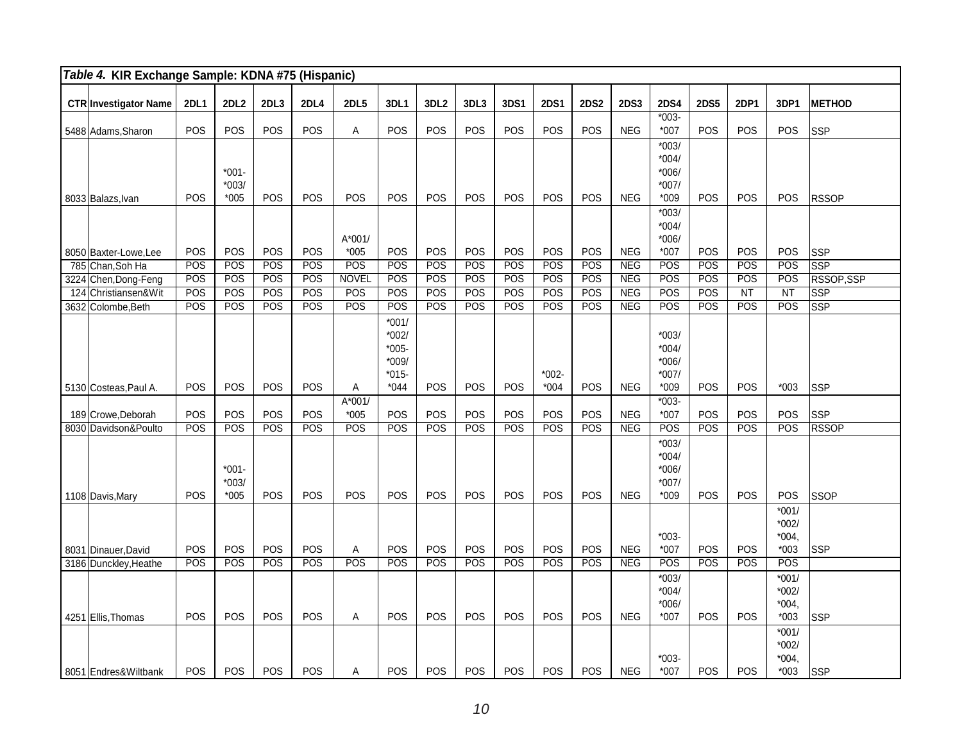| Table 4. KIR Exchange Sample: KDNA #75 (Hispanic) |             |                               |            |             |                    |                                                     |                  |            |            |             |             |             |                                                    |             |             |                                         |               |
|---------------------------------------------------|-------------|-------------------------------|------------|-------------|--------------------|-----------------------------------------------------|------------------|------------|------------|-------------|-------------|-------------|----------------------------------------------------|-------------|-------------|-----------------------------------------|---------------|
| <b>CTR</b> Investigator Name                      | <b>2DL1</b> | 2DL <sub>2</sub>              | 2DL3       | <b>2DL4</b> | <b>2DL5</b>        | 3DL1                                                | 3DL <sub>2</sub> | 3DL3       | 3DS1       | <b>2DS1</b> | <b>2DS2</b> | <b>2DS3</b> | <b>2DS4</b>                                        | <b>2DS5</b> | <b>2DP1</b> | 3DP1                                    | <b>METHOD</b> |
| 5488 Adams, Sharon                                | POS         | POS                           | POS        | POS         | A                  | POS                                                 | <b>POS</b>       | POS        | POS        | <b>POS</b>  | POS         | <b>NEG</b>  | $*003-$<br>$*007$                                  | <b>POS</b>  | POS         | <b>POS</b>                              | <b>SSP</b>    |
| 8033 Balazs, Ivan                                 | <b>POS</b>  | $*001-$<br>$*003/$<br>*005    | POS        | POS         | POS                | <b>POS</b>                                          | POS              | POS        | POS        | POS         | POS         | <b>NEG</b>  | $*003/$<br>$*004/$<br>$*006/$<br>$*007/$<br>$*009$ | POS         | <b>POS</b>  | <b>POS</b>                              | <b>RSSOP</b>  |
|                                                   | POS         | POS                           | POS        | POS         | A*001/<br>$*005$   | POS                                                 | POS              | POS        | POS        | POS         | POS         | <b>NEG</b>  | $*003/$<br>$*004/$<br>*006/<br>$*007$              | POS         | POS         | POS                                     |               |
| 8050 Baxter-Lowe, Lee<br>785 Chan, Soh Ha         | POS         | POS                           | POS        | POS         | POS                | POS                                                 | POS              | POS        | POS        | POS         | POS         | <b>NEG</b>  | POS                                                | POS         | POS         | POS                                     | SSP<br>SSP    |
| 3224 Chen, Dong-Feng                              | POS         | POS                           | POS        | POS         | <b>NOVEL</b>       | POS                                                 | POS              | POS        | POS        | POS         | POS         | <b>NEG</b>  | POS                                                | POS         | POS         | POS                                     | RSSOP, SSP    |
| 124 Christiansen&Wit                              | POS         | POS                           | POS        | POS         | POS                | POS                                                 | POS              | POS        | POS        | POS         | POS         | <b>NEG</b>  | POS                                                | POS         | NT          | NT                                      | <b>SSP</b>    |
| 3632 Colombe, Beth                                | POS         | POS                           | POS        | POS         | POS                | POS                                                 | POS              | POS        | POS        | POS         | POS         | <b>NEG</b>  | POS                                                | POS         | POS         | POS                                     | SSP           |
|                                                   |             |                               |            |             |                    | $*001/$<br>$*002/$<br>$*005-$<br>$*009/$<br>$*015-$ |                  |            |            | $*002-$     |             |             | $*003/$<br>$*004/$<br>*006/<br>$*007/$             |             |             |                                         |               |
| 5130 Costeas, Paul A.                             | <b>POS</b>  | POS                           | <b>POS</b> | <b>POS</b>  | Α                  | $*044$                                              | POS              | <b>POS</b> | <b>POS</b> | $*004$      | <b>POS</b>  | <b>NEG</b>  | $*009$                                             | POS         | <b>POS</b>  | $*003$                                  | <b>SSP</b>    |
| 189 Crowe, Deborah                                | POS         | POS                           | POS        | POS         | $A*001/$<br>$*005$ | POS                                                 | POS              | POS        | POS        | <b>POS</b>  | POS         | <b>NEG</b>  | $*003-$<br>$*007$                                  | POS         | POS         | POS                                     | SSP           |
| 8030 Davidson&Poulto                              | POS         | POS                           | POS        | POS         | POS                | POS                                                 | POS              | POS        | POS        | POS         | POS         | NEG         | POS                                                | POS         | POS         | POS                                     | <b>RSSOP</b>  |
| 1108 Davis, Mary                                  | <b>POS</b>  | $*001 -$<br>$*003/$<br>$*005$ | POS        | POS         | POS                | POS                                                 | POS              | <b>POS</b> | POS        | POS         | POS         | <b>NEG</b>  | $*003/$<br>$*004/$<br>*006/<br>$*007/$<br>$*009$   | POS         | <b>POS</b>  | POS                                     | <b>SSOP</b>   |
| 8031 Dinauer, David                               | POS         | POS                           | POS        | POS         | Α                  | POS                                                 | POS              | POS        | POS        | POS         | POS         | NEG         | $*003-$<br>$*007$                                  | POS         | POS         | $*001/$<br>$*002/$<br>$*004,$<br>$*003$ | <b>SSP</b>    |
| 3186 Dunckley, Heathe                             | POS         | POS                           | <b>POS</b> | POS         | POS                | POS                                                 | POS              | POS        | POS        | POS         | POS         | <b>NEG</b>  | POS                                                | POS         | POS         | POS                                     |               |
| 4251 Ellis, Thomas                                | <b>POS</b>  | POS                           | POS        | POS         | Α                  | POS                                                 | POS              | POS        | POS        | POS         | POS         | <b>NEG</b>  | $*003/$<br>$*004/$<br>$*006/$<br>$*007$            | POS         | POS         | $*001/$<br>$*002/$<br>$*004.$<br>$*003$ | <b>SSP</b>    |
| 8051 Endres& Wiltbank                             | <b>POS</b>  | <b>POS</b>                    | POS        | POS         | Α                  | POS                                                 | POS              | <b>POS</b> | POS        | <b>POS</b>  | <b>POS</b>  | <b>NEG</b>  | $*003-$<br>$*007$                                  | <b>POS</b>  | POS         | $*001/$<br>$*002/$<br>$*004,$<br>$*003$ | <b>SSP</b>    |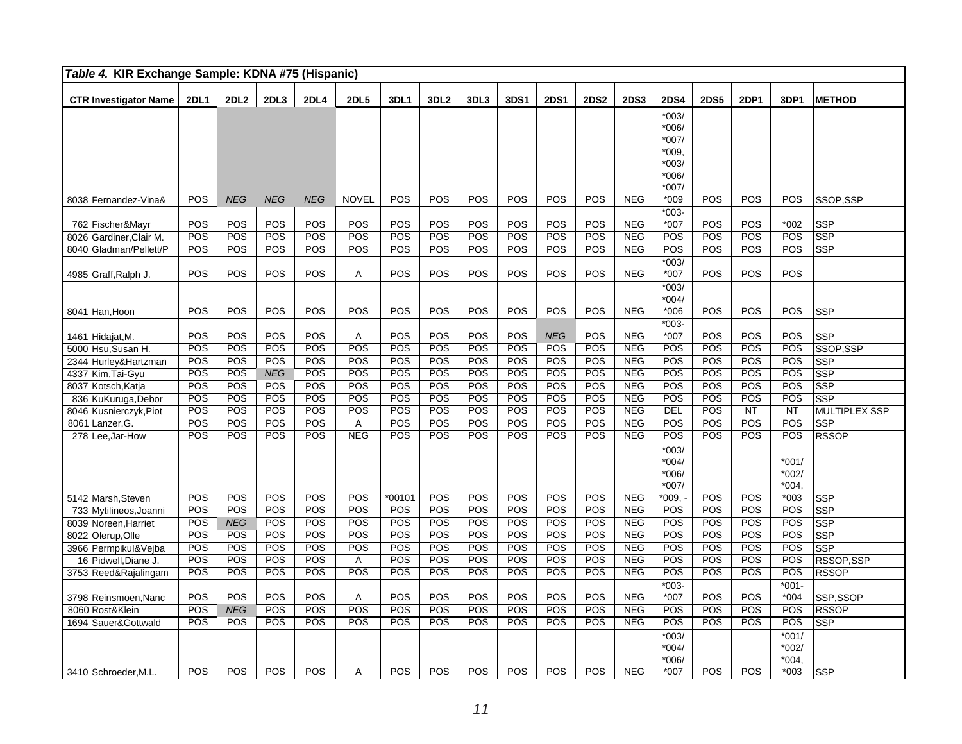| Table 4. KIR Exchange Sample: KDNA #75 (Hispanic) |             |                   |            |             |              |             |                  |                   |                   |             |             |                          |                    |                   |             |                    |                            |
|---------------------------------------------------|-------------|-------------------|------------|-------------|--------------|-------------|------------------|-------------------|-------------------|-------------|-------------|--------------------------|--------------------|-------------------|-------------|--------------------|----------------------------|
| <b>CTR Investigator Name</b>                      | <b>2DL1</b> | 2DL <sub>2</sub>  | 2DL3       | <b>2DL4</b> | <b>2DL5</b>  | <b>3DL1</b> | 3DL <sub>2</sub> | 3DL3              | 3DS1              | <b>2DS1</b> | <b>2DS2</b> | <b>2DS3</b>              | <b>2DS4</b>        | <b>2DS5</b>       | <b>2DP1</b> | 3DP1               | <b>METHOD</b>              |
|                                                   |             |                   |            |             |              |             |                  |                   |                   |             |             |                          | $*003/$            |                   |             |                    |                            |
|                                                   |             |                   |            |             |              |             |                  |                   |                   |             |             |                          | $*006/$            |                   |             |                    |                            |
|                                                   |             |                   |            |             |              |             |                  |                   |                   |             |             |                          | $*007/$            |                   |             |                    |                            |
|                                                   |             |                   |            |             |              |             |                  |                   |                   |             |             |                          | $*009,$            |                   |             |                    |                            |
|                                                   |             |                   |            |             |              |             |                  |                   |                   |             |             |                          | $*003/$            |                   |             |                    |                            |
|                                                   |             |                   |            |             |              |             |                  |                   |                   |             |             |                          | $*006/$<br>$*007/$ |                   |             |                    |                            |
| 8038 Fernandez-Vina&                              | POS         | <b>NEG</b>        | <b>NEG</b> | <b>NEG</b>  | <b>NOVEL</b> | POS         | POS              | POS               | POS               | POS         | POS         | <b>NEG</b>               | $*009$             | POS               | POS         | POS                | SSOP,SSP                   |
|                                                   |             |                   |            |             |              |             |                  |                   |                   |             |             |                          | $*003-$            |                   |             |                    |                            |
| 762 Fischer&Mayr                                  | POS         | POS               | POS        | POS         | POS          | POS         | POS              | POS               | POS               | POS         | POS         | <b>NEG</b>               | $*007$             | POS               | POS         | $*002$             | <b>SSP</b>                 |
| 8026 Gardiner, Clair M.                           | POS         | POS               | POS        | POS         | POS          | POS         | POS              | POS               | POS               | POS         | POS         | <b>NEG</b>               | POS                | POS               | POS         | POS                | SSP                        |
| 8040 Gladman/Pellett/P                            | POS         | POS               | POS        | POS         | POS          | POS         | POS              | POS               | POS               | POS         | POS         | <b>NEG</b>               | POS                | POS               | POS         | POS                | <b>SSP</b>                 |
|                                                   |             |                   |            |             |              |             |                  |                   |                   |             |             |                          | $*003/$            |                   |             |                    |                            |
| 4985 Graff,Ralph J.                               | POS         | POS               | POS        | POS         | Α            | POS         | POS              | POS               | POS               | POS         | POS         | <b>NEG</b>               | $*007$             | POS               | POS         | POS                |                            |
|                                                   |             |                   |            |             |              |             |                  |                   |                   |             |             |                          | $*003/$            |                   |             |                    |                            |
|                                                   |             |                   |            |             |              |             |                  |                   |                   |             |             |                          | $*004/$            |                   |             |                    |                            |
| 8041 Han, Hoon                                    | POS         | POS               | POS        | POS         | POS          | POS         | POS              | POS               | POS               | POS         | POS         | <b>NEG</b>               | $*006$<br>$*003-$  | POS               | POS         | POS                | <b>SSP</b>                 |
| 1461 Hidajat, M.                                  | <b>POS</b>  | POS               | POS        | <b>POS</b>  | Α            | POS         | POS              | POS               | <b>POS</b>        | <b>NEG</b>  | POS         | <b>NEG</b>               | $*007$             | <b>POS</b>        | POS         | <b>POS</b>         | <b>SSP</b>                 |
| 5000 Hsu, Susan H.                                | POS         | POS               | POS        | POS         | POS          | POS         | POS              | POS               | POS               | POS         | POS         | <b>NEG</b>               | POS                | POS               | POS         | POS                | SSOP.SSP                   |
| 2344 Hurley& Hartzman                             | POS         | POS               | POS        | POS         | POS          | POS         | POS              | POS               | POS               | POS         | POS         | <b>NEG</b>               | POS                | POS               | POS         | POS                | SSP                        |
| 4337 Kim, Tai-Gyu                                 | POS         | POS               | <b>NEG</b> | POS         | POS          | POS         | POS              | POS               | POS               | POS         | POS         | <b>NEG</b>               | POS                | POS               | POS         | POS                | SSP                        |
| 8037 Kotsch, Katja                                | POS         | POS               | POS        | POS         | POS          | POS         | POS              | POS               | POS               | POS         | POS         | <b>NEG</b>               | POS                | POS               | POS         | POS                | SSP                        |
| 836 KuKuruga, Debor                               | POS         | POS               | POS        | POS         | POS          | POS         | POS              | POS               | POS               | POS         | POS         | <b>NEG</b>               | POS                | POS               | POS         | POS                | SSP                        |
| 8046 Kusnierczyk, Piot                            | POS         | POS               | POS        | POS         | POS          | POS         | POS              | POS               | POS               | POS         | POS         | <b>NEG</b>               | <b>DEL</b>         | POS               | NT          | <b>NT</b>          | <b>MULTIPLEX SSP</b>       |
| 8061 Lanzer, G.                                   | POS         | POS               | POS        | POS         | A            | POS         | POS              | POS               | <b>POS</b>        | POS         | POS         | <b>NEG</b>               | POS                | POS               | POS         | POS                | <b>SSP</b>                 |
| 278 Lee, Jar-How                                  | <b>POS</b>  | POS               | POS        | POS         | <b>NEG</b>   | POS         | POS              | POS               | POS               | POS         | POS         | <b>NEG</b>               | POS                | POS               | POS         | POS                | <b>RSSOP</b>               |
|                                                   |             |                   |            |             |              |             |                  |                   |                   |             |             |                          | $*003/$            |                   |             |                    |                            |
|                                                   |             |                   |            |             |              |             |                  |                   |                   |             |             |                          | $*004/$            |                   |             | $*001/$            |                            |
|                                                   |             |                   |            |             |              |             |                  |                   |                   |             |             |                          | $*006/$<br>$*007/$ |                   |             | $*002/$<br>$*004.$ |                            |
| 5142 Marsh, Steven                                | POS         | POS               | POS        | POS         | POS          | $*00101$    | POS              | POS               | POS               | POS         | POS         | <b>NEG</b>               | $*009.$            | POS               | POS         | $*003$             | <b>SSP</b>                 |
| 733 Mytilineos, Joanni                            | POS         | POS               | <b>POS</b> | POS         | POS          | POS         | <b>POS</b>       | POS               | <b>POS</b>        | POS         | POS         | <b>NEG</b>               | POS                | <b>POS</b>        | POS         | POS                | $\overline{\text{SSP}}$    |
| 8039 Noreen, Harriet                              | POS         | <b>NEG</b>        | POS        | POS         | POS          | POS         | POS              | <b>POS</b>        | POS               | POS         | POS         | <b>NEG</b>               | POS                | POS               | POS         | POS                | <b>SSP</b>                 |
| 8022 Olerup, Olle                                 | POS         | <b>POS</b>        | POS        | POS         | POS          | POS         | POS              | POS               | POS               | POS         | POS         | <b>NEG</b>               | POS                | POS               | POS         | POS                | SSP                        |
| 3966 Permpikul& Vejba                             | POS         | POS               | POS        | POS         | POS          | POS         | POS              | POS               | POS               | POS         | POS         | <b>NEG</b>               | POS                | POS               | POS         | POS                | <b>SSP</b>                 |
| 16 Pidwell, Diane J.                              | POS         | POS               | POS        | POS         | A            | POS         | POS              | POS               | POS               | POS         | POS         | <b>NEG</b>               | POS                | POS               | POS         | POS                | RSSOP.SSP                  |
| 3753 Reed&Rajalingam                              | POS         | POS               | POS        | POS         | POS          | POS         | POS              | POS               | <b>POS</b>        | POS         | POS         | <b>NEG</b>               | POS                | POS               | POS         | POS                | <b>RSSOP</b>               |
|                                                   |             |                   |            |             |              |             |                  |                   |                   |             |             |                          | $*003-$            |                   |             | $*001 -$           |                            |
| 3798 Reinsmoen, Nanc                              | POS<br>POS  | POS               | POS        | POS         | A<br>POS     | POS<br>POS  | POS              | POS               | POS               | POS         | POS<br>POS  | <b>NEG</b>               | *007               | POS               | POS<br>POS  | $*004$             | SSP, SSOP                  |
| 8060 Rost&Klein                                   | <b>POS</b>  | <b>NEG</b><br>POS | POS<br>POS | POS<br>POS  | POS          | POS         | POS<br>POS       | POS<br><b>POS</b> | POS<br><b>POS</b> | POS<br>POS  | POS         | <b>NEG</b><br><b>NEG</b> | POS<br>POS         | POS<br><b>POS</b> | POS         | POS<br>POS         | <b>RSSOP</b><br><b>SSP</b> |
| 1694 Sauer& Gottwald                              |             |                   |            |             |              |             |                  |                   |                   |             |             |                          | $*003/$            |                   |             | $*001/$            |                            |
|                                                   |             |                   |            |             |              |             |                  |                   |                   |             |             |                          | $*004/$            |                   |             | *002/              |                            |
|                                                   |             |                   |            |             |              |             |                  |                   |                   |             |             |                          | $*006/$            |                   |             | $*004.$            |                            |
| 3410 Schroeder, M.L.                              | <b>POS</b>  | POS               | <b>POS</b> | <b>POS</b>  | Α            | <b>POS</b>  | <b>POS</b>       | <b>POS</b>        | POS               | <b>POS</b>  | POS         | <b>NEG</b>               | $*007$             | <b>POS</b>        | <b>POS</b>  | $*003$             | <b>SSP</b>                 |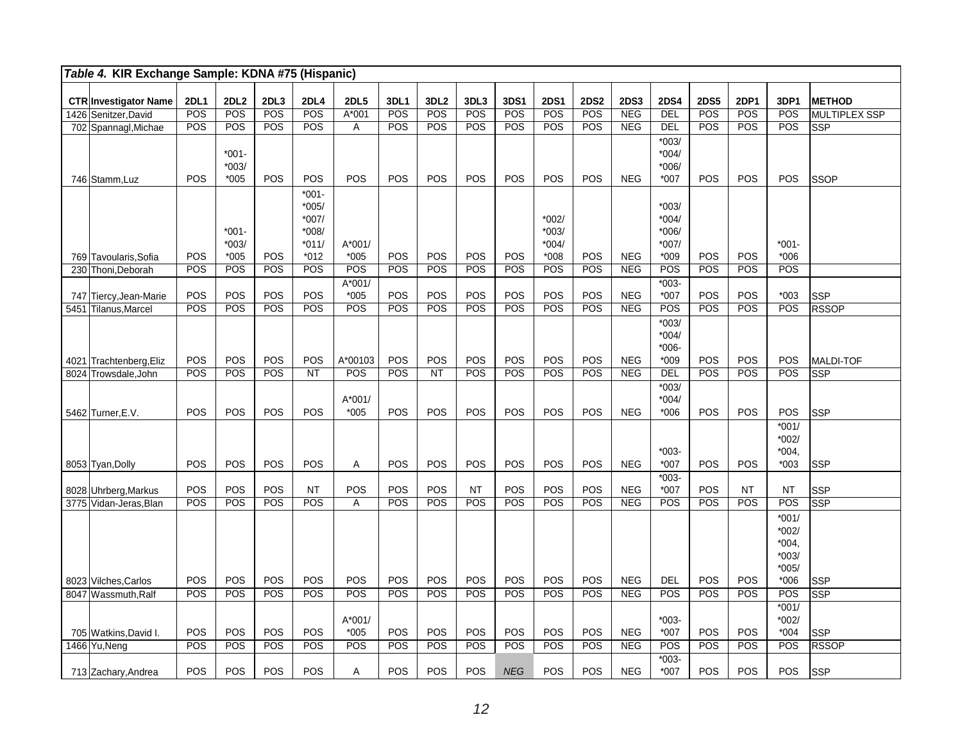| Table 4. KIR Exchange Sample: KDNA #75 (Hispanic) |             |                               |            |                                                           |                    |            |                  |            |            |                                         |             |             |                                                    |             |           |                                                   |                  |
|---------------------------------------------------|-------------|-------------------------------|------------|-----------------------------------------------------------|--------------------|------------|------------------|------------|------------|-----------------------------------------|-------------|-------------|----------------------------------------------------|-------------|-----------|---------------------------------------------------|------------------|
| <b>CTR Investigator Name</b>                      | <b>2DL1</b> | 2DL <sub>2</sub>              | 2DL3       | <b>2DL4</b>                                               | <b>2DL5</b>        | 3DL1       | 3DL <sub>2</sub> | 3DL3       | 3DS1       | <b>2DS1</b>                             | <b>2DS2</b> | <b>2DS3</b> | <b>2DS4</b>                                        | <b>2DS5</b> | 2DP1      | 3DP1                                              | <b>METHOD</b>    |
| 1426 Senitzer, David                              | POS         | POS                           | POS        | POS                                                       | $A*001$            | POS        | POS              | POS        | POS        | POS                                     | POS         | <b>NEG</b>  | DEL                                                | POS         | POS       | <b>POS</b>                                        | MULTIPLEX SSP    |
| 702 Spannagl, Michae                              | POS         | POS                           | POS        | POS                                                       | A                  | POS        | POS              | POS        | POS        | POS                                     | POS         | NEG         | <b>DEL</b>                                         | POS         | POS       | POS                                               | <b>SSP</b>       |
| 746 Stamm, Luz                                    | POS         | $*001 -$<br>$*003/$<br>$*005$ | <b>POS</b> | POS                                                       | POS                | <b>POS</b> | POS              | POS        | POS        | POS                                     | POS         | <b>NEG</b>  | $*003/$<br>$*004/$<br>$*006/$<br>$*007$            | POS         | POS       | <b>POS</b>                                        | <b>SSOP</b>      |
| 769 Tavoularis, Sofia                             | POS         | $*001 -$<br>$*003/$<br>$*005$ | POS        | $*001-$<br>*005/<br>$*007/$<br>*008/<br>$*011/$<br>$*012$ | $A*001/$<br>$*005$ | POS        | POS              | POS        | POS        | $*002/$<br>$*003/$<br>$*004/$<br>$*008$ | POS         | <b>NEG</b>  | $*003/$<br>$*004/$<br>$*006/$<br>$*007/$<br>$*009$ | POS         | POS       | $*001 -$<br>$*006$                                |                  |
| 230 Thoni, Deborah                                | POS         | POS                           | POS        | POS                                                       | POS                | POS        | POS              | POS        | <b>POS</b> | <b>POS</b>                              | POS         | <b>NEG</b>  | POS                                                | POS         | POS       | POS                                               |                  |
| 747 Tiercy, Jean-Marie                            | POS         | POS                           | <b>POS</b> | POS                                                       | $A*001/$<br>$*005$ | POS        | POS              | POS        | POS        | POS                                     | POS         | <b>NEG</b>  | $*003-$<br>*007                                    | <b>POS</b>  | POS       | $*003$                                            | <b>SSP</b>       |
| 5451 Tilanus,Marcel                               | POS         | POS                           | POS        | POS                                                       | POS                | POS        | POS              | POS        | POS        | POS                                     | POS         | NEG         | POS                                                | POS         | POS       | POS                                               | <b>RSSOP</b>     |
| 4021 Trachtenberg, Eliz                           | POS         | POS                           | POS        | POS                                                       | A*00103            | POS        | POS              | POS        | POS        | POS                                     | POS         | <b>NEG</b>  | $*003/$<br>$*004/$<br>$*006-$<br>$*009$            | POS         | POS       | <b>POS</b>                                        | <b>MALDI-TOF</b> |
| 8024 Trowsdale, John                              | POS         | POS                           | POS        | <b>NT</b>                                                 | POS                | POS        | <b>NT</b>        | POS        | POS        | POS                                     | POS         | NEG         | DEL                                                | POS         | POS       | POS                                               | <b>SSP</b>       |
| 5462 Turner, E.V.                                 | POS         | POS                           | POS        | POS                                                       | A*001/<br>$*005$   | POS        | POS              | POS        | POS        | POS                                     | POS         | <b>NEG</b>  | $*003/$<br>$*004/$<br>$*006$                       | POS         | POS       | <b>POS</b>                                        | <b>SSP</b>       |
| 8053 Tyan, Dolly                                  | <b>POS</b>  | POS                           | POS        | POS                                                       | A                  | <b>POS</b> | POS              | POS        | POS        | <b>POS</b>                              | POS         | <b>NEG</b>  | $*003-$<br>$*007$                                  | POS         | POS       | $*001/$<br>$*002/$<br>$*004,$<br>$*003$           | <b>SSP</b>       |
|                                                   |             |                               |            |                                                           |                    |            |                  |            |            |                                         |             |             | $*003-$                                            |             |           |                                                   |                  |
| 8028 Uhrberg, Markus                              | POS         | POS                           | POS        | <b>NT</b>                                                 | POS                | POS        | POS              | <b>NT</b>  | POS        | POS                                     | POS         | <b>NEG</b>  | *007                                               | POS         | <b>NT</b> | <b>NT</b>                                         | <b>SSP</b>       |
| 3775 Vidan-Jeras. Blan                            | POS         | POS                           | POS        | POS                                                       | A                  | POS        | POS              | POS        | <b>POS</b> | POS                                     | POS         | <b>NEG</b>  | POS                                                | POS         | POS       | POS                                               | <b>SSP</b>       |
|                                                   |             |                               |            |                                                           |                    |            |                  |            |            |                                         |             |             |                                                    |             |           | $*001/$<br>$*002/$<br>$*004.$<br>$*003/$<br>*005/ |                  |
| 8023 Vilches, Carlos                              | POS         | POS                           | POS        | POS                                                       | POS                | POS        | POS              | POS        | POS        | POS                                     | POS         | <b>NEG</b>  | <b>DEL</b>                                         | POS         | POS       | $*006$                                            | <b>SSP</b>       |
| 8047 Wassmuth.Ralf                                | POS         | POS                           | POS        | POS                                                       | POS                | POS        | POS              | POS        | POS        | POS                                     | POS         | <b>NEG</b>  | POS                                                | POS         | POS       | POS                                               | <b>SSP</b>       |
| 705 Watkins, David I.                             | POS         | POS                           | POS        | POS                                                       | $A*001/$<br>$*005$ | POS        | POS              | POS        | POS        | POS                                     | POS         | <b>NEG</b>  | $*003-$<br>$*007$                                  | POS         | POS       | $*001/$<br>$*002/$<br>$*004$                      | <b>SSP</b>       |
| 1466 Yu, Neng                                     | POS         | POS                           | POS        | POS                                                       | POS                | POS        | POS              | POS        | POS        | POS                                     | POS         | <b>NEG</b>  | POS                                                | POS         | POS       | POS                                               | <b>RSSOP</b>     |
| 713 Zachary, Andrea                               | POS         | POS                           | POS        | POS                                                       | Α                  | POS        | POS              | <b>POS</b> | <b>NEG</b> | POS                                     | POS         | <b>NEG</b>  | $*003-$<br>$*007$                                  | POS         | POS       | <b>POS</b>                                        | SSP              |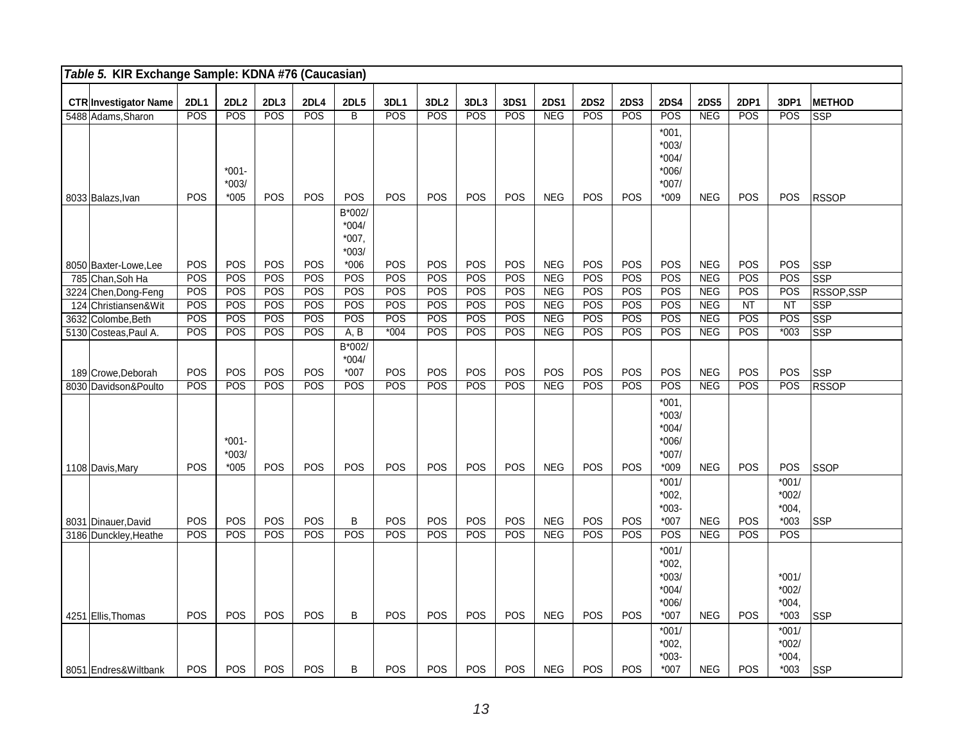| Table 5. KIR Exchange Sample: KDNA #76 (Caucasian) |             |                    |            |            |             |            |                  |            |      |             |             |             |                    |             |      |            |               |
|----------------------------------------------------|-------------|--------------------|------------|------------|-------------|------------|------------------|------------|------|-------------|-------------|-------------|--------------------|-------------|------|------------|---------------|
|                                                    | <b>2DL1</b> | <b>2DL2</b>        | 2DL3       | 2DL4       | <b>2DL5</b> | 3DL1       | 3DL <sub>2</sub> | 3DL3       | 3DS1 | <b>2DS1</b> | <b>2DS2</b> | <b>2DS3</b> | <b>2DS4</b>        | <b>2DS5</b> | 2DP1 | 3DP1       | <b>METHOD</b> |
| <b>CTR Investigator Name</b><br>5488 Adams, Sharon | POS         | POS                | POS        | POS        | B           | POS        | POS              | POS        | POS  | <b>NEG</b>  | POS         | POS         | POS                | NEG         | POS  | POS        | <b>SSP</b>    |
|                                                    |             |                    |            |            |             |            |                  |            |      |             |             |             |                    |             |      |            |               |
|                                                    |             |                    |            |            |             |            |                  |            |      |             |             |             | $*001,$            |             |      |            |               |
|                                                    |             |                    |            |            |             |            |                  |            |      |             |             |             | $*003/$<br>$*004/$ |             |      |            |               |
|                                                    |             | $*001 -$           |            |            |             |            |                  |            |      |             |             |             | $*006/$            |             |      |            |               |
|                                                    |             | $*003/$            |            |            |             |            |                  |            |      |             |             |             | $*007/$            |             |      |            |               |
| 8033 Balazs, Ivan                                  | POS         | $*005$             | POS        | POS        | POS         | POS        | <b>POS</b>       | <b>POS</b> | POS  | <b>NEG</b>  | POS         | POS         | $*009$             | <b>NEG</b>  | POS  | <b>POS</b> | <b>RSSOP</b>  |
|                                                    |             |                    |            |            | B*002/      |            |                  |            |      |             |             |             |                    |             |      |            |               |
|                                                    |             |                    |            |            | $*004/$     |            |                  |            |      |             |             |             |                    |             |      |            |               |
|                                                    |             |                    |            |            | $*007,$     |            |                  |            |      |             |             |             |                    |             |      |            |               |
|                                                    |             |                    |            |            | $*003/$     |            |                  |            |      |             |             |             |                    |             |      |            |               |
| 8050 Baxter-Lowe, Lee                              | POS         | POS                | POS        | <b>POS</b> | $*006$      | POS        | <b>POS</b>       | POS        | POS  | <b>NEG</b>  | POS         | POS         | POS                | <b>NEG</b>  | POS  | POS        | <b>SSP</b>    |
| 785 Chan, Soh Ha                                   | POS         | POS                | POS        | POS        | POS         | POS        | POS              | POS        | POS  | <b>NEG</b>  | POS         | POS         | POS                | NEG         | POS  | POS        | SSP           |
| 3224 Chen, Dong-Feng                               | POS         | POS                | POS        | POS        | POS         | POS        | POS              | POS        | POS  | <b>NEG</b>  | POS         | POS         | POS                | <b>NEG</b>  | POS  | POS        | RSSOP, SSP    |
| 124 Christiansen&Wit                               | POS         | POS                | POS        | POS        | POS         | POS        | POS              | POS        | POS  | <b>NEG</b>  | POS         | POS         | POS                | <b>NEG</b>  | NT   | NT         | <b>SSP</b>    |
| 3632 Colombe, Beth                                 | POS         | POS                | POS        | POS        | POS         | POS        | POS              | POS        | POS  | <b>NEG</b>  | POS         | POS         | POS                | <b>NEG</b>  | POS  | POS        | <b>SSP</b>    |
| 5130 Costeas, Paul A.                              | POS         | POS                | POS        | POS        | A, B        | $*004$     | POS              | POS        | POS  | <b>NEG</b>  | POS         | POS         | POS                | <b>NEG</b>  | POS  | $*003$     | <b>SSP</b>    |
|                                                    |             |                    |            |            | B*002/      |            |                  |            |      |             |             |             |                    |             |      |            |               |
|                                                    |             |                    |            |            | $*004/$     |            |                  |            |      |             |             |             |                    |             |      |            |               |
| 189 Crowe, Deborah                                 | POS         | POS                | <b>POS</b> | POS        | $*007$      | <b>POS</b> | <b>POS</b>       | <b>POS</b> | POS  | POS         | POS         | POS         | <b>POS</b>         | <b>NEG</b>  | POS  | <b>POS</b> | <b>SSP</b>    |
| 8030 Davidson&Poulto                               | POS         | POS                | POS        | POS        | POS         | POS        | POS              | POS        | POS  | <b>NEG</b>  | POS         | POS         | POS                | <b>NEG</b>  | POS  | POS        | <b>RSSOP</b>  |
|                                                    |             |                    |            |            |             |            |                  |            |      |             |             |             | $*001,$            |             |      |            |               |
|                                                    |             |                    |            |            |             |            |                  |            |      |             |             |             | $*003/$            |             |      |            |               |
|                                                    |             |                    |            |            |             |            |                  |            |      |             |             |             | $*004/$            |             |      |            |               |
|                                                    |             | $*001-$<br>$*003/$ |            |            |             |            |                  |            |      |             |             |             | $*006/$<br>$*007/$ |             |      |            |               |
| 1108 Davis, Mary                                   | POS         | $*005$             | POS        | POS        | POS         | POS        | <b>POS</b>       | <b>POS</b> | POS  | <b>NEG</b>  | POS         | POS         | $*009$             | <b>NEG</b>  | POS  | POS        | <b>SSOP</b>   |
|                                                    |             |                    |            |            |             |            |                  |            |      |             |             |             | $*001/$            |             |      | $*001/$    |               |
|                                                    |             |                    |            |            |             |            |                  |            |      |             |             |             | $*002,$            |             |      | $*002/$    |               |
|                                                    |             |                    |            |            |             |            |                  |            |      |             |             |             | $*003-$            |             |      | $*004,$    |               |
| 8031 Dinauer, David                                | POS         | POS                | POS        | POS        | B           | POS        | POS              | POS        | POS  | <b>NEG</b>  | <b>POS</b>  | POS         | $*007$             | <b>NEG</b>  | POS  | $*003$     | <b>SSP</b>    |
| 3186 Dunckley, Heathe                              | POS         | POS                | POS        | POS        | POS         | POS        | POS              | <b>POS</b> | POS  | <b>NEG</b>  | <b>POS</b>  | POS         | POS                | <b>NEG</b>  | POS  | POS        |               |
|                                                    |             |                    |            |            |             |            |                  |            |      |             |             |             | $*001/$            |             |      |            |               |
|                                                    |             |                    |            |            |             |            |                  |            |      |             |             |             | $*002,$            |             |      |            |               |
|                                                    |             |                    |            |            |             |            |                  |            |      |             |             |             | $*003/$            |             |      | $*001/$    |               |
|                                                    |             |                    |            |            |             |            |                  |            |      |             |             |             | $*004/$            |             |      | $*002/$    |               |
|                                                    |             |                    |            |            |             |            |                  |            |      |             |             |             | *006/              |             |      | $*004,$    |               |
| 4251 Ellis, Thomas                                 | POS         | POS                | POS        | POS        | B           | POS        | POS              | POS        | POS  | <b>NEG</b>  | POS         | POS         | $*007$             | <b>NEG</b>  | POS  | $*003$     | <b>SSP</b>    |
|                                                    |             |                    |            |            |             |            |                  |            |      |             |             |             | $*001/$            |             |      | $*001/$    |               |
|                                                    |             |                    |            |            |             |            |                  |            |      |             |             |             | $*002,$            |             |      | $*002/$    |               |
|                                                    |             |                    |            |            |             |            |                  |            |      |             |             |             | $*003-$            |             |      | $*004,$    |               |
| 8051 Endres& Wiltbank                              | POS         | POS                | POS        | POS        | B           | POS        | POS              | POS        | POS  | <b>NEG</b>  | POS         | POS         | $*007$             | <b>NEG</b>  | POS  | $*003$     | <b>SSP</b>    |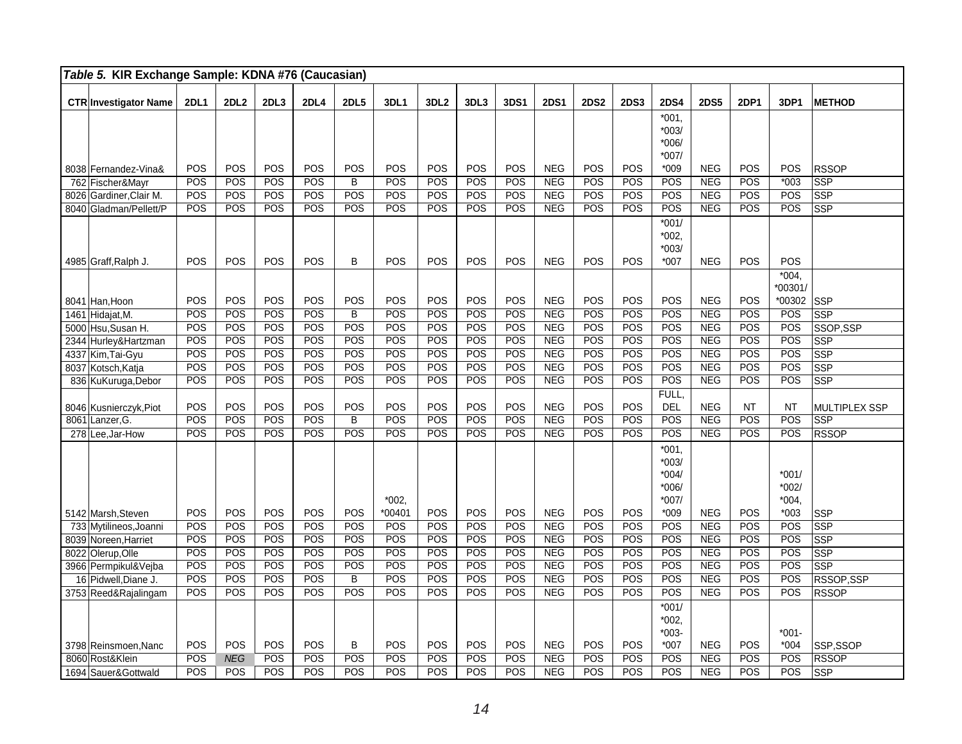|      | Table 5. KIR Exchange Sample: KDNA #76 (Caucasian) |             |             |            |             |                         |          |                  |      |            |             |             |             |                                                   |             |            |                             |                         |
|------|----------------------------------------------------|-------------|-------------|------------|-------------|-------------------------|----------|------------------|------|------------|-------------|-------------|-------------|---------------------------------------------------|-------------|------------|-----------------------------|-------------------------|
|      | <b>CTR Investigator Name</b>                       | <b>2DL1</b> | <b>2DL2</b> | 2DL3       | <b>2DL4</b> | <b>2DL5</b>             | 3DL1     | 3DL <sub>2</sub> | 3DL3 | 3DS1       | <b>2DS1</b> | <b>2DS2</b> | <b>2DS3</b> | <b>2DS4</b>                                       | <b>2DS5</b> | 2DP1       | 3DP1                        | <b>METHOD</b>           |
|      |                                                    |             |             |            |             |                         |          |                  |      |            |             |             |             | $*001,$<br>$*003/$<br>$*006/$<br>$*007/$          |             |            |                             |                         |
|      | 8038 Fernandez-Vina&                               | POS         | POS         | POS        | POS         | POS                     | POS      | POS              | POS  | POS        | <b>NEG</b>  | POS         | POS         | $*009$                                            | <b>NEG</b>  | POS        | POS                         | <b>RSSOP</b>            |
| 762  | Fischer&Mayr                                       | POS         | POS         | POS        | POS         | $\overline{\mathsf{B}}$ | POS      | POS              | POS  | POS        | NEG         | POS         | POS         | POS                                               | NEG         | POS        | $*003$                      | <b>SSP</b>              |
| 8026 | Gardiner, Clair M.                                 | POS         | POS         | POS        | POS         | POS                     | POS      | POS              | POS  | POS        | NEG         | POS         | POS         | POS                                               | <b>NEG</b>  | POS        | POS                         | <b>SSP</b>              |
|      | 8040 Gladman/Pellett/P                             | POS         | POS         | POS        | POS         | POS                     | POS      | POS              | POS  | POS        | <b>NEG</b>  | POS         | POS         | POS                                               | <b>NEG</b>  | POS        | POS                         | <b>SSP</b>              |
|      |                                                    | POS         | POS         | POS        | POS         | В                       | POS      | POS              | POS  | POS        | <b>NEG</b>  | POS         | POS         | $*001/$<br>$*002,$<br>$*003/$<br>$*007$           | <b>NEG</b>  | <b>POS</b> | POS                         |                         |
|      | 4985 Graff, Ralph J.                               |             |             |            |             |                         |          |                  |      |            |             |             |             |                                                   |             |            | $*004,$                     |                         |
|      | 8041 Han, Hoon                                     | POS         | POS         | POS        | POS         | POS                     | POS      | POS              | POS  | POS        | <b>NEG</b>  | POS         | POS         | POS                                               | <b>NEG</b>  | POS        | *00301/<br>*00302           | <b>SSP</b>              |
| 1461 | Hidajat, M.                                        | POS         | POS         | POS        | POS         | B                       | POS      | POS              | POS  | POS        | NEG         | POS         | POS         | POS                                               | NEG         | POS        | POS                         | <b>SSP</b>              |
|      | 5000 Hsu, Susan H.                                 | POS         | POS         | POS        | POS         | POS                     | POS      | POS              | POS  | POS        | <b>NEG</b>  | POS         | POS         | POS                                               | <b>NEG</b>  | POS        | POS                         | SSOP,SSP                |
| 2344 | Hurley&Hartzman                                    | POS         | POS         | POS        | POS         | POS                     | POS      | POS              | POS  | POS        | <b>NEG</b>  | POS         | POS         | POS                                               | <b>NEG</b>  | POS        | POS                         | <b>SSP</b>              |
|      | 4337 Kim, Tai-Gyu                                  | POS         | POS         | POS        | POS         | POS                     | POS      | POS              | POS  | POS        | <b>NEG</b>  | POS         | POS         | POS                                               | <b>NEG</b>  | POS        | POS                         | <b>SSP</b>              |
|      | 8037 Kotsch, Katja                                 | POS         | POS         | POS        | POS         | POS                     | POS      | POS              | POS  | POS        | <b>NEG</b>  | POS         | POS         | POS                                               | <b>NEG</b>  | POS        | POS                         | <b>SSP</b>              |
|      | 836 KuKuruga, Debor                                | POS         | POS         | POS        | POS         | POS                     | POS      | POS              | POS  | POS        | <b>NEG</b>  | POS         | POS         | POS                                               | <b>NEG</b>  | POS        | POS                         | <b>SSP</b>              |
|      | 8046 Kusnierczyk, Piot                             | POS         | POS         | POS        | POS         | POS                     | POS      | POS              | POS  | POS        | <b>NEG</b>  | POS         | POS         | FULL,<br>DEL                                      | <b>NEG</b>  | <b>NT</b>  | <b>NT</b>                   | MULTIPLEX SSP           |
|      | 8061 Lanzer, G.                                    | POS         | POS         | POS        | POS         | $\overline{B}$          | POS      | POS              | POS  | POS        | NEG         | POS         | POS         | POS                                               | NEG         | POS        | POS                         | SSP                     |
|      | 278 Lee, Jar-How                                   | POS         | POS         | POS        | POS         | POS                     | POS      | POS              | POS  | POS        | <b>NEG</b>  | POS         | POS         | POS                                               | <b>NEG</b>  | POS        | POS                         | <b>RSSOP</b>            |
|      |                                                    |             |             |            |             |                         | $*002,$  |                  |      |            |             |             |             | $*001,$<br>$*003/$<br>$*004/$<br>$*006/$<br>*007/ |             |            | $*001/$<br>*002/<br>$*004.$ |                         |
|      | 5142 Marsh, Steven                                 | POS         | POS         | <b>POS</b> | POS         | POS                     | $*00401$ | POS              | POS  | POS        | <b>NEG</b>  | POS         | POS         | *009                                              | <b>NEG</b>  | POS        | $*003$                      | <b>SSP</b>              |
|      | 733 Mytilineos, Joanni                             | POS         | POS         | POS        | POS         | POS                     | POS      | POS              | POS  | POS        | NEG         | POS         | POS         | POS                                               | <b>NEG</b>  | POS        | POS                         | $\overline{\text{SSP}}$ |
|      | 8039 Noreen, Harriet                               | POS         | POS         | POS        | POS         | POS                     | POS      | POS              | POS  | POS        | <b>NEG</b>  | POS         | POS         | POS                                               | <b>NEG</b>  | POS        | POS                         | <b>SSP</b>              |
| 8022 | Olerup, Olle                                       | POS         | POS         | POS        | POS         | POS                     | POS      | POS              | POS  | POS        | <b>NEG</b>  | POS         | POS         | POS                                               | <b>NEG</b>  | POS        | POS                         | <b>SSP</b>              |
|      | 3966 Permpikul&Vejba                               | POS         | POS         | POS        | POS         | POS                     | POS      | POS              | POS  | POS        | <b>NEG</b>  | POS         | POS         | POS                                               | <b>NEG</b>  | POS        | POS                         | <b>SSP</b>              |
| 16   | Pidwell, Diane J.                                  | POS         | POS         | POS        | POS         | B                       | POS      | POS              | POS  | POS        | <b>NEG</b>  | POS         | POS         | POS                                               | <b>NEG</b>  | POS        | POS                         | RSSOP,SSP               |
|      | 3753 Reed&Rajalingam                               | POS         | POS         | <b>POS</b> | <b>POS</b>  | POS                     | POS      | POS              | POS  | <b>POS</b> | NEG         | POS         | POS         | POS                                               | NEG         | POS        | POS                         | <b>RSSOP</b>            |
|      | 3798 Reinsmoen, Nanc                               | POS         | POS         | POS        | POS         | B                       | POS      | POS              | POS  | POS        | <b>NEG</b>  | POS         | POS         | $*001/$<br>$*002,$<br>$*003-$<br>$*007$           | <b>NEG</b>  | POS        | $*001-$<br>$*004$           | SSP,SSOP                |
|      | 8060 Rost&Klein                                    | POS         | <b>NEG</b>  | POS        | POS         | POS                     | POS      | POS              | POS  | POS        | NEG         | POS         | POS         | POS                                               | <b>NEG</b>  | POS        | POS                         | <b>RSSOP</b>            |
|      | 1694 Sauer& Gottwald                               | POS         | POS         | POS        | POS         | POS                     | POS      | POS              | POS  | POS        | <b>NEG</b>  | POS         | POS         | POS                                               | <b>NEG</b>  | POS        | POS                         | <b>SSP</b>              |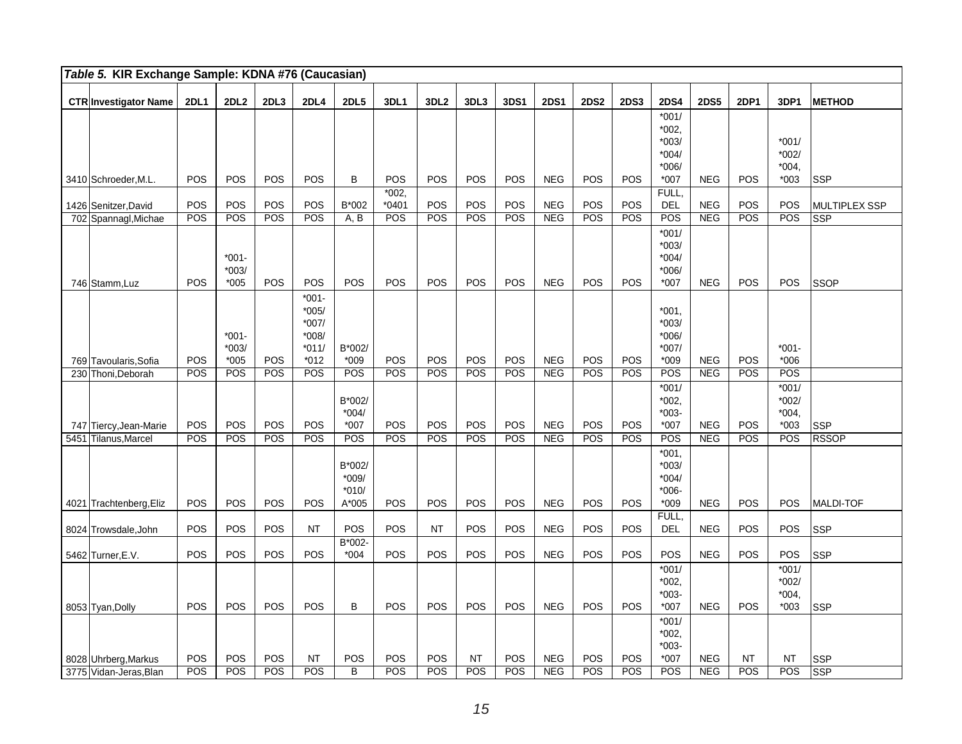| Table 5. KIR Exchange Sample: KDNA #76 (Caucasian) |             |                              |            |                                                                |                                       |                    |                  |                  |            |                   |             |             |                                                             |                          |            |                                         |                      |
|----------------------------------------------------|-------------|------------------------------|------------|----------------------------------------------------------------|---------------------------------------|--------------------|------------------|------------------|------------|-------------------|-------------|-------------|-------------------------------------------------------------|--------------------------|------------|-----------------------------------------|----------------------|
| <b>CTR Investigator Name</b>                       | <b>2DL1</b> | 2DL <sub>2</sub>             | 2DL3       | 2DL4                                                           | <b>2DL5</b>                           | 3DL1               | 3DL <sub>2</sub> | 3DL3             | 3DS1       | <b>2DS1</b>       | <b>2DS2</b> | <b>2DS3</b> | <b>2DS4</b>                                                 | <b>2DS5</b>              | 2DP1       | 3DP1                                    | <b>METHOD</b>        |
| 3410 Schroeder, M.L.                               | POS         | POS                          | POS        | POS                                                            | B                                     | POS                | POS              | POS              | POS        | <b>NEG</b>        | POS         | POS         | $*001/$<br>$*002,$<br>$*003/$<br>$*004/$<br>$*006/$<br>*007 | <b>NEG</b>               | POS        | $*001/$<br>$*002/$<br>$*004,$<br>$*003$ | <b>SSP</b>           |
| 1426 Senitzer, David                               | POS         | POS                          | POS        | POS                                                            | B*002                                 | $*002,$<br>$*0401$ | POS              | POS              | POS        | <b>NEG</b>        | POS         | POS         | FULL,<br><b>DEL</b>                                         | <b>NEG</b>               | POS        | POS                                     | <b>MULTIPLEX SSP</b> |
| 702 Spannagl, Michae                               | POS         | POS                          | POS        | POS                                                            | A, B                                  | POS                | POS              | POS              | <b>POS</b> | <b>NEG</b>        | POS         | POS         | POS                                                         | <b>NEG</b>               | <b>POS</b> | POS                                     | SSP                  |
| 746 Stamm, Luz                                     | POS         | $*001-$<br>$*003/$<br>$*005$ | POS        | POS                                                            | POS                                   | POS                | POS              | POS              | <b>POS</b> | <b>NEG</b>        | POS         | POS         | $*001/$<br>$*003/$<br>$*004/$<br>*006/<br>$*007$            | <b>NEG</b>               | POS        | <b>POS</b>                              | <b>SSOP</b>          |
| 769 Tavoularis, Sofia                              | POS         | $*001-$<br>$*003/$<br>$*005$ | POS        | $*001 -$<br>$*005/$<br>$*007/$<br>$*008/$<br>$*011/$<br>$*012$ | B*002/<br>$*009$                      | POS                | POS              | POS              | <b>POS</b> | <b>NEG</b>        | POS         | POS         | $*001.$<br>$*003/$<br>*006/<br>$*007/$<br>$*009$            | <b>NEG</b>               | POS        | $*001 -$<br>$*006$                      |                      |
| 230 Thoni, Deborah                                 | POS         | POS                          | POS        | POS                                                            | POS                                   | POS                | POS              | POS              | <b>POS</b> | <b>NEG</b>        | POS         | POS         | POS                                                         | <b>NEG</b>               | POS        | POS                                     |                      |
| 747 Tiercy, Jean-Marie                             | POS         | POS                          | POS        | POS                                                            | B*002/<br>$*004/$<br>$*007$           | POS                | POS              | POS              | <b>POS</b> | <b>NEG</b>        | POS         | POS         | $*001/$<br>$*002,$<br>$*003-$<br>*007                       | <b>NEG</b>               | POS        | $*001/$<br>$*002/$<br>$*004,$<br>$*003$ | <b>SSP</b>           |
| 5451 Tilanus, Marcel                               | POS         | POS                          | POS        | <b>POS</b>                                                     | POS                                   | POS                | POS              | POS              | <b>POS</b> | NEG               | POS         | POS         | POS                                                         | <b>NEG</b>               | POS        | POS                                     | <b>RSSOP</b>         |
| 4021 Trachtenberg, Eliz                            | POS         | POS                          | POS        | <b>POS</b>                                                     | B*002/<br>$*009/$<br>$*010/$<br>A*005 | POS                | POS              | POS              | <b>POS</b> | <b>NEG</b>        | POS         | POS         | $*001,$<br>$*003/$<br>$*004/$<br>$*006-$<br>$*009$          | <b>NEG</b>               | POS        | POS                                     | MALDI-TOF            |
| 8024 Trowsdale, John                               | POS         | POS                          | POS        | <b>NT</b>                                                      | POS                                   | POS                | <b>NT</b>        | POS              | POS        | <b>NEG</b>        | POS         | POS         | FULL,<br><b>DEL</b>                                         | <b>NEG</b>               | POS        | POS                                     | <b>SSP</b>           |
| 5462 Turner, E.V.                                  | POS         | POS                          | POS        | POS                                                            | B*002-<br>$*004$                      | POS                | POS              | POS              | <b>POS</b> | <b>NEG</b>        | POS         | POS         | POS                                                         | <b>NEG</b>               | POS        | POS                                     | <b>SSP</b>           |
| 8053 Tyan, Dolly                                   | POS         | POS                          | POS        | <b>POS</b>                                                     | B                                     | POS                | POS              | <b>POS</b>       | POS        | <b>NEG</b>        | POS         | POS         | $*001/$<br>*002.<br>$*003-$<br>*007                         | <b>NEG</b>               | POS        | $*001/$<br>$*002/$<br>$*004,$<br>$*003$ | <b>SSP</b>           |
| 8028 Uhrberg, Markus                               | POS<br>POS  | POS<br>POS                   | POS<br>POS | <b>NT</b>                                                      | POS<br>B                              | POS<br>POS         | POS<br>POS       | <b>NT</b><br>POS | POS<br>POS | NEG<br><b>NEG</b> | POS<br>POS  | POS<br>POS  | $*001/$<br>$*002,$<br>$*003-$<br>$*007$<br>POS              | <b>NEG</b><br><b>NEG</b> | <b>NT</b>  | <b>NT</b><br>POS                        | SSP                  |
| 3775 Vidan-Jeras, Blan                             |             |                              |            | POS                                                            |                                       |                    |                  |                  |            |                   |             |             |                                                             |                          | POS        |                                         | <b>SSP</b>           |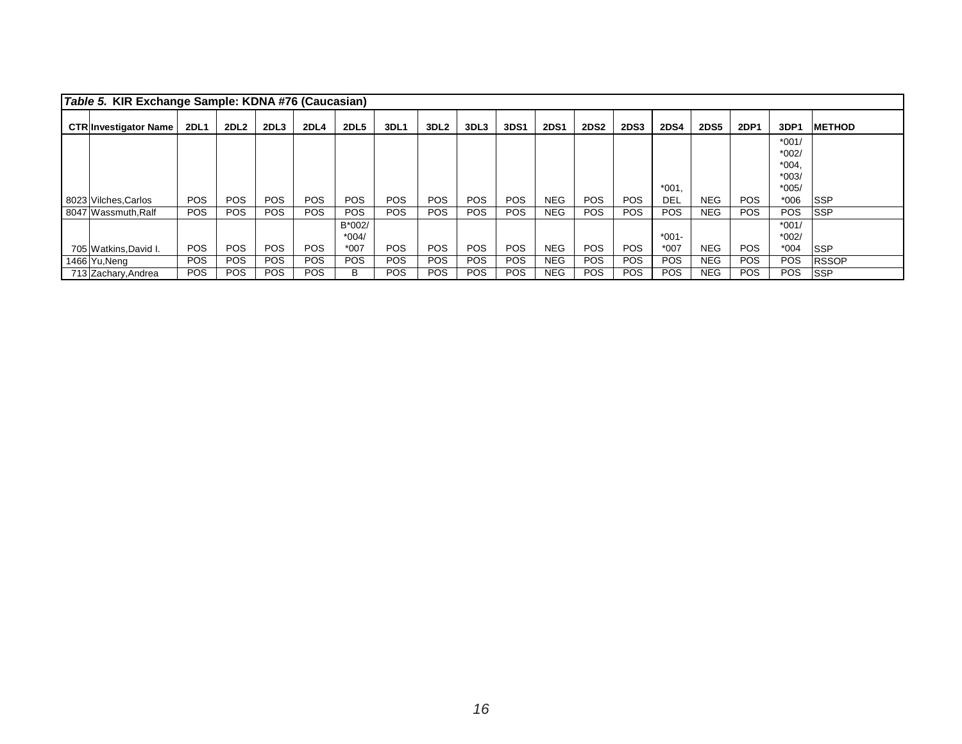| Table 5. KIR Exchange Sample: KDNA #76 (Caucasian) |             |                  |                  |             |             |            |                  |            |            |             |             |             |             |             |            |                    |               |
|----------------------------------------------------|-------------|------------------|------------------|-------------|-------------|------------|------------------|------------|------------|-------------|-------------|-------------|-------------|-------------|------------|--------------------|---------------|
| <b>CTR Investigator Name</b>                       | <b>2DL1</b> | 2DL <sub>2</sub> | 2DL <sub>3</sub> | <b>2DL4</b> | <b>2DL5</b> | 3DL1       | 3DL <sub>2</sub> | 3DL3       | 3DS1       | <b>2DS1</b> | <b>2DS2</b> | <b>2DS3</b> | <b>2DS4</b> | <b>2DS5</b> | 2DP1       | 3DP1               | <b>METHOD</b> |
|                                                    |             |                  |                  |             |             |            |                  |            |            |             |             |             |             |             |            | $*001/$<br>$*002/$ |               |
|                                                    |             |                  |                  |             |             |            |                  |            |            |             |             |             |             |             |            | $*004.$            |               |
|                                                    |             |                  |                  |             |             |            |                  |            |            |             |             |             |             |             |            | $*003/$            |               |
|                                                    |             |                  |                  |             |             |            |                  |            |            |             |             |             | $*001.$     |             |            | $*005/$            |               |
| 8023 Vilches Carlos                                | <b>POS</b>  | <b>POS</b>       | <b>POS</b>       | <b>POS</b>  | <b>POS</b>  | <b>POS</b> | <b>POS</b>       | <b>POS</b> | POS.       | <b>NEG</b>  | <b>POS</b>  | <b>POS</b>  | DEL         | <b>NEG</b>  | <b>POS</b> | $*006$             | ISSP          |
| 8047 Wassmuth, Ralf                                | <b>POS</b>  | <b>POS</b>       | <b>POS</b>       | POS.        | <b>POS</b>  | <b>POS</b> | <b>POS</b>       | POS.       | POS.       | <b>NEG</b>  | <b>POS</b>  | <b>POS</b>  | <b>POS</b>  | <b>NEG</b>  | POS.       | <b>POS</b>         | ISSP          |
|                                                    |             |                  |                  |             | B*002/      |            |                  |            |            |             |             |             |             |             |            | $*001/$            |               |
|                                                    |             |                  |                  |             | $*004/$     |            |                  |            |            |             |             |             | $*001 -$    |             |            | $*002/$            |               |
| 705 Watkins, David I.                              | <b>POS</b>  | <b>POS</b>       | <b>POS</b>       | <b>POS</b>  | $*007$      | <b>POS</b> | <b>POS</b>       | <b>POS</b> | <b>POS</b> | <b>NEG</b>  | <b>POS</b>  | <b>POS</b>  | $*007$      | <b>NEG</b>  | POS.       | $*004$             | ISSP          |
| 1466 Yu, Neng                                      | <b>POS</b>  | <b>POS</b>       | <b>POS</b>       | <b>POS</b>  | <b>POS</b>  | <b>POS</b> | <b>POS</b>       | <b>POS</b> | POS.       | <b>NEG</b>  | <b>POS</b>  | <b>POS</b>  | <b>POS</b>  | <b>NEG</b>  | <b>POS</b> | <b>POS</b>         | <b>RSSOP</b>  |
| 713 Zachary, Andrea                                | <b>POS</b>  | <b>POS</b>       | <b>POS</b>       | POS.        | В           | <b>POS</b> | POS.             | <b>POS</b> | POS.       | <b>NEG</b>  | <b>POS</b>  | <b>POS</b>  | <b>POS</b>  | <b>NEG</b>  | POS.       | POS.               | <b>ISSP</b>   |